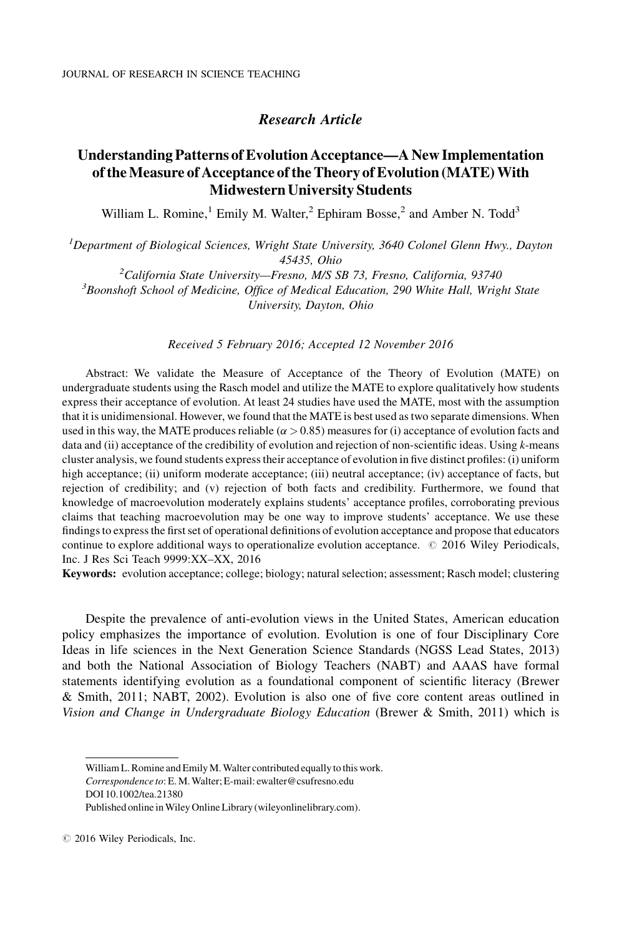# Research Article

# Understanding Patterns of Evolution Acceptance—A New Implementation of the Measure of Acceptance of the Theory of Evolution (MATE) With Midwestern University Students

William L. Romine,<sup>1</sup> Emily M. Walter,<sup>2</sup> Ephiram Bosse,<sup>2</sup> and Amber N. Todd<sup>3</sup>

<sup>1</sup>Department of Biological Sciences, Wright State University, 3640 Colonel Glenn Hwy., Dayton 45435, Ohio<br><sup>2</sup>California State University - Fresno, M/S S

<sup>2</sup>California State University—Fresno, M/S SB 73, Fresno, California, 93740<br><sup>3</sup>Beomshoft School of Medicine, Office of Medical Education, 200 White Hall, Wrig  ${}^{3}$ Boonshoft School of Medicine, Office of Medical Education, 290 White Hall, Wright State University, Dayton, Ohio

Received 5 February 2016; Accepted 12 November 2016

Abstract: We validate the Measure of Acceptance of the Theory of Evolution (MATE) on undergraduate students using the Rasch model and utilize the MATE to explore qualitatively how students express their acceptance of evolution. At least 24 studies have used the MATE, most with the assumption that it is unidimensional. However, we found that the MATE is best used as two separate dimensions. When used in this way, the MATE produces reliable ( $\alpha > 0.85$ ) measures for (i) acceptance of evolution facts and data and (ii) acceptance of the credibility of evolution and rejection of non-scientific ideas. Using k-means cluster analysis, we found students express their acceptance of evolution in five distinct profiles: (i) uniform high acceptance; (ii) uniform moderate acceptance; (iii) neutral acceptance; (iv) acceptance of facts, but rejection of credibility; and (v) rejection of both facts and credibility. Furthermore, we found that knowledge of macroevolution moderately explains students' acceptance profiles, corroborating previous claims that teaching macroevolution may be one way to improve students' acceptance. We use these findings to express the first set of operational definitions of evolution acceptance and propose that educators continue to explore additional ways to operationalize evolution acceptance.  $\oslash$  2016 Wiley Periodicals, Inc. J Res Sci Teach 9999:XX–XX, 2016

Keywords: evolution acceptance; college; biology; natural selection; assessment; Rasch model; clustering

Despite the prevalence of anti-evolution views in the United States, American education policy emphasizes the importance of evolution. Evolution is one of four Disciplinary Core Ideas in life sciences in the Next Generation Science Standards (NGSS Lead States, 2013) and both the National Association of Biology Teachers (NABT) and AAAS have formal statements identifying evolution as a foundational component of scientific literacy (Brewer & Smith, 2011; NABT, 2002). Evolution is also one of five core content areas outlined in Vision and Change in Undergraduate Biology Education (Brewer & Smith, 2011) which is

William L. Romine and Emily M. Walter contributed equally to this work. Correspondence to: E.M. Walter; E-mail: ewalter@csufresno.edu DOI 10.1002/tea.21380

Published online inWiley Online Library (wileyonlinelibrary.com).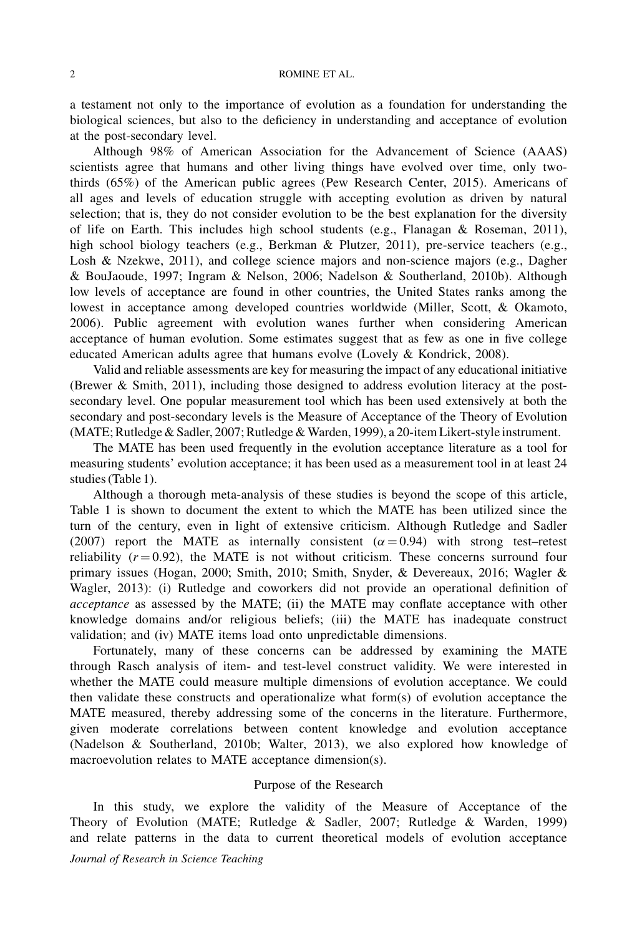a testament not only to the importance of evolution as a foundation for understanding the biological sciences, but also to the deficiency in understanding and acceptance of evolution at the post-secondary level.

Although 98% of American Association for the Advancement of Science (AAAS) scientists agree that humans and other living things have evolved over time, only twothirds (65%) of the American public agrees (Pew Research Center, 2015). Americans of all ages and levels of education struggle with accepting evolution as driven by natural selection; that is, they do not consider evolution to be the best explanation for the diversity of life on Earth. This includes high school students (e.g., Flanagan & Roseman, 2011), high school biology teachers (e.g., Berkman & Plutzer, 2011), pre-service teachers (e.g., Losh & Nzekwe, 2011), and college science majors and non-science majors (e.g., Dagher & BouJaoude, 1997; Ingram & Nelson, 2006; Nadelson & Southerland, 2010b). Although low levels of acceptance are found in other countries, the United States ranks among the lowest in acceptance among developed countries worldwide (Miller, Scott, & Okamoto, 2006). Public agreement with evolution wanes further when considering American acceptance of human evolution. Some estimates suggest that as few as one in five college educated American adults agree that humans evolve (Lovely & Kondrick, 2008).

Valid and reliable assessments are key for measuring the impact of any educational initiative (Brewer & Smith, 2011), including those designed to address evolution literacy at the postsecondary level. One popular measurement tool which has been used extensively at both the secondary and post-secondary levels is the Measure of Acceptance of the Theory of Evolution (MATE; Rutledge & Sadler, 2007; Rutledge & Warden, 1999), a 20-item Likert-style instrument.

The MATE has been used frequently in the evolution acceptance literature as a tool for measuring students' evolution acceptance; it has been used as a measurement tool in at least 24 studies (Table 1).

Although a thorough meta-analysis of these studies is beyond the scope of this article, Table 1 is shown to document the extent to which the MATE has been utilized since the turn of the century, even in light of extensive criticism. Although Rutledge and Sadler (2007) report the MATE as internally consistent  $(\alpha = 0.94)$  with strong test–retest reliability  $(r = 0.92)$ , the MATE is not without criticism. These concerns surround four primary issues (Hogan, 2000; Smith, 2010; Smith, Snyder, & Devereaux, 2016; Wagler & Wagler, 2013): (i) Rutledge and coworkers did not provide an operational definition of acceptance as assessed by the MATE; (ii) the MATE may conflate acceptance with other knowledge domains and/or religious beliefs; (iii) the MATE has inadequate construct validation; and (iv) MATE items load onto unpredictable dimensions.

Fortunately, many of these concerns can be addressed by examining the MATE through Rasch analysis of item- and test-level construct validity. We were interested in whether the MATE could measure multiple dimensions of evolution acceptance. We could then validate these constructs and operationalize what form(s) of evolution acceptance the MATE measured, thereby addressing some of the concerns in the literature. Furthermore, given moderate correlations between content knowledge and evolution acceptance (Nadelson & Southerland, 2010b; Walter, 2013), we also explored how knowledge of macroevolution relates to MATE acceptance dimension(s).

### Purpose of the Research

In this study, we explore the validity of the Measure of Acceptance of the Theory of Evolution (MATE; Rutledge & Sadler, 2007; Rutledge & Warden, 1999) and relate patterns in the data to current theoretical models of evolution acceptance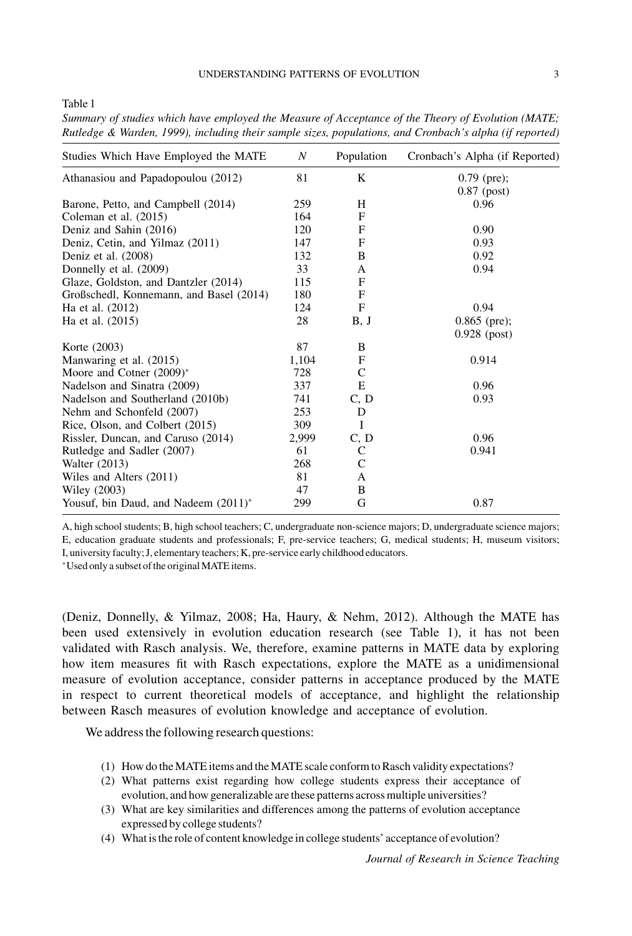Table 1

| Studies Which Have Employed the MATE    | $\boldsymbol{N}$ | Population | Cronbach's Alpha (if Reported) |
|-----------------------------------------|------------------|------------|--------------------------------|
| Athanasiou and Papadopoulou (2012)      | 81               | K          | $0.79$ (pre);                  |
|                                         |                  |            | $0.87$ (post)                  |
| Barone, Petto, and Campbell (2014)      | 259              | H          | 0.96                           |
| Coleman et al. (2015)                   | 164              | F          |                                |
| Deniz and Sahin (2016)                  | 120              | F          | 0.90                           |
| Deniz, Cetin, and Yilmaz (2011)         | 147              | F          | 0.93                           |
| Deniz et al. (2008)                     | 132              | B          | 0.92                           |
| Donnelly et al. (2009)                  | 33               | A          | 0.94                           |
| Glaze, Goldston, and Dantzler (2014)    | 115              | F          |                                |
| Großschedl, Konnemann, and Basel (2014) | 180              | F          |                                |
| Ha et al. (2012)                        | 124              | F          | 0.94                           |
| Ha et al. (2015)                        | 28               | B, J       | $0.865$ (pre);                 |
|                                         |                  |            | $0.928$ (post)                 |
| Korte (2003)                            | 87               | B          |                                |
| Manwaring et al. (2015)                 | 1,104            | F          | 0.914                          |
| Moore and Cotner $(2009)^*$             | 728              | C          |                                |
| Nadelson and Sinatra (2009)             | 337              | E          | 0.96                           |
| Nadelson and Southerland (2010b)        | 741              | C, D       | 0.93                           |
| Nehm and Schonfeld (2007)               | 253              | D          |                                |
| Rice, Olson, and Colbert (2015)         | 309              | I          |                                |
| Rissler, Duncan, and Caruso (2014)      | 2,999            | C, D       | 0.96                           |
| Rutledge and Sadler (2007)              | 61               | C          | 0.941                          |
| Walter (2013)                           | 268              | C          |                                |
| Wiles and Alters (2011)                 | 81               | A          |                                |
| Wiley (2003)                            | 47               | B          |                                |
| Yousuf, bin Daud, and Nadeem $(2011)^*$ | 299              | G          | 0.87                           |

Summary of studies which have employed the Measure of Acceptance of the Theory of Evolution (MATE; Rutledge & Warden, 1999), including their sample sizes, populations, and Cronbach's alpha (if reported)

A, high school students; B, high school teachers; C, undergraduate non-science majors; D, undergraduate science majors; E, education graduate students and professionals; F, pre-service teachers; G, medical students; H, museum visitors; I, university faculty; J, elementary teachers; K, pre-service early childhood educators.

-Used only a subset of the originalMATE items.

(Deniz, Donnelly, & Yilmaz, 2008; Ha, Haury, & Nehm, 2012). Although the MATE has been used extensively in evolution education research (see Table 1), it has not been validated with Rasch analysis. We, therefore, examine patterns in MATE data by exploring how item measures fit with Rasch expectations, explore the MATE as a unidimensional measure of evolution acceptance, consider patterns in acceptance produced by the MATE in respect to current theoretical models of acceptance, and highlight the relationship between Rasch measures of evolution knowledge and acceptance of evolution.

We address the following research questions:

- (1) How do theMATE items and theMATE scale conform to Rasch validity expectations?
- (2) What patterns exist regarding how college students express their acceptance of evolution, and how generalizable are these patterns across multiple universities?
- (3) What are key similarities and differences among the patterns of evolution acceptance expressed by college students?
- (4) What is the role of content knowledge in college students' acceptance of evolution?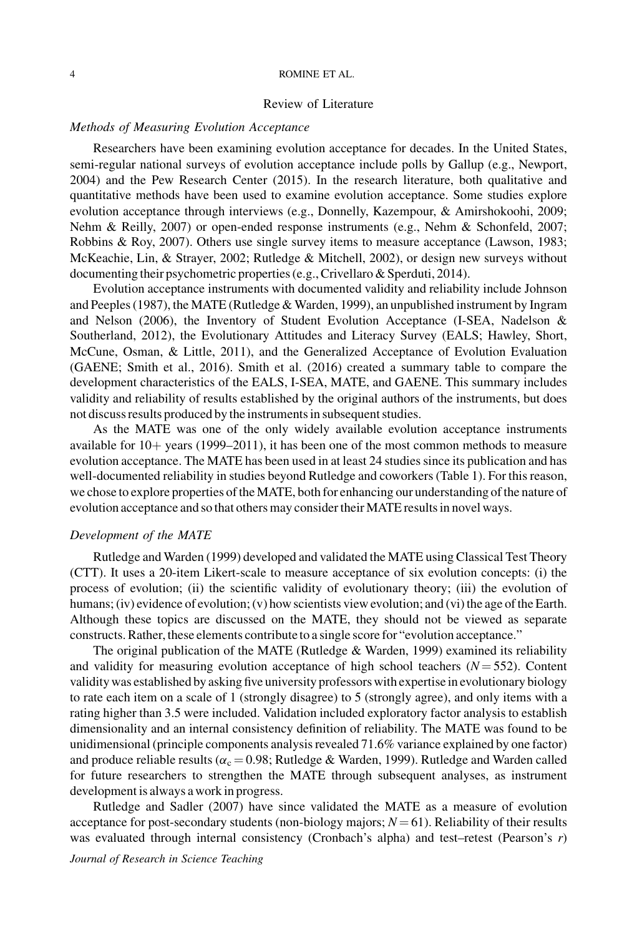#### 4 ROMINE ET AL.

## Review of Literature

### Methods of Measuring Evolution Acceptance

Researchers have been examining evolution acceptance for decades. In the United States, semi-regular national surveys of evolution acceptance include polls by Gallup (e.g., Newport, 2004) and the Pew Research Center (2015). In the research literature, both qualitative and quantitative methods have been used to examine evolution acceptance. Some studies explore evolution acceptance through interviews (e.g., Donnelly, Kazempour, & Amirshokoohi, 2009; Nehm & Reilly, 2007) or open-ended response instruments (e.g., Nehm & Schonfeld, 2007; Robbins & Roy, 2007). Others use single survey items to measure acceptance (Lawson, 1983; McKeachie, Lin, & Strayer, 2002; Rutledge & Mitchell, 2002), or design new surveys without documenting their psychometric properties (e.g., Crivellaro & Sperduti, 2014).

Evolution acceptance instruments with documented validity and reliability include Johnson and Peeples (1987), the MATE (Rutledge & Warden, 1999), an unpublished instrument by Ingram and Nelson (2006), the Inventory of Student Evolution Acceptance (I-SEA, Nadelson & Southerland, 2012), the Evolutionary Attitudes and Literacy Survey (EALS; Hawley, Short, McCune, Osman, & Little, 2011), and the Generalized Acceptance of Evolution Evaluation (GAENE; Smith et al., 2016). Smith et al. (2016) created a summary table to compare the development characteristics of the EALS, I-SEA, MATE, and GAENE. This summary includes validity and reliability of results established by the original authors of the instruments, but does not discuss results produced by the instruments in subsequent studies.

As the MATE was one of the only widely available evolution acceptance instruments available for  $10+$  years (1999–2011), it has been one of the most common methods to measure evolution acceptance. The MATE has been used in at least 24 studies since its publication and has well-documented reliability in studies beyond Rutledge and coworkers (Table 1). For this reason, we chose to explore properties of the MATE, both for enhancing our understanding of the nature of evolution acceptance and so that others may consider their MATE results in novel ways.

### Development of the MATE

Rutledge and Warden (1999) developed and validated the MATE using Classical Test Theory (CTT). It uses a 20-item Likert-scale to measure acceptance of six evolution concepts: (i) the process of evolution; (ii) the scientific validity of evolutionary theory; (iii) the evolution of humans; (iv) evidence of evolution; (v) how scientists view evolution; and (vi) the age of the Earth. Although these topics are discussed on the MATE, they should not be viewed as separate constructs. Rather, these elements contribute to a single score for "evolution acceptance."

The original publication of the MATE (Rutledge  $&$  Warden, 1999) examined its reliability and validity for measuring evolution acceptance of high school teachers  $(N = 552)$ . Content validity was established by asking five university professors with expertise in evolutionary biology to rate each item on a scale of 1 (strongly disagree) to 5 (strongly agree), and only items with a rating higher than 3.5 were included. Validation included exploratory factor analysis to establish dimensionality and an internal consistency definition of reliability. The MATE was found to be unidimensional (principle components analysis revealed 71.6% variance explained by one factor) and produce reliable results ( $\alpha_c = 0.98$ ; Rutledge & Warden, 1999). Rutledge and Warden called for future researchers to strengthen the MATE through subsequent analyses, as instrument development is always a work in progress.

Rutledge and Sadler (2007) have since validated the MATE as a measure of evolution acceptance for post-secondary students (non-biology majors;  $N = 61$ ). Reliability of their results was evaluated through internal consistency (Cronbach's alpha) and test–retest (Pearson's  $r$ )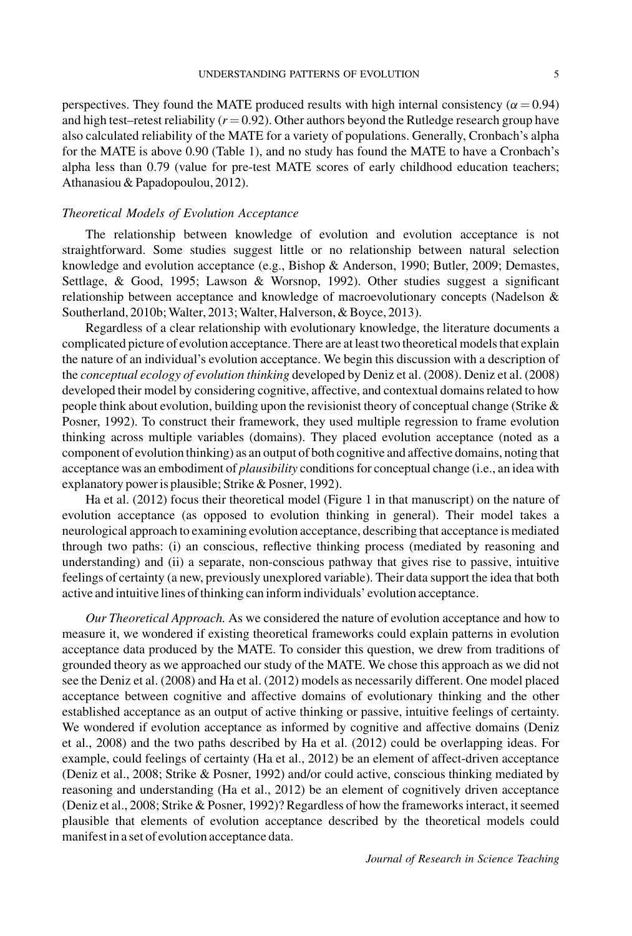perspectives. They found the MATE produced results with high internal consistency ( $\alpha$  = 0.94) and high test–retest reliability ( $r = 0.92$ ). Other authors beyond the Rutledge research group have also calculated reliability of the MATE for a variety of populations. Generally, Cronbach's alpha for the MATE is above 0.90 (Table 1), and no study has found the MATE to have a Cronbach's alpha less than 0.79 (value for pre-test MATE scores of early childhood education teachers; Athanasiou & Papadopoulou, 2012).

## Theoretical Models of Evolution Acceptance

The relationship between knowledge of evolution and evolution acceptance is not straightforward. Some studies suggest little or no relationship between natural selection knowledge and evolution acceptance (e.g., Bishop & Anderson, 1990; Butler, 2009; Demastes, Settlage, & Good, 1995; Lawson & Worsnop, 1992). Other studies suggest a significant relationship between acceptance and knowledge of macroevolutionary concepts (Nadelson & Southerland, 2010b; Walter, 2013; Walter, Halverson, & Boyce, 2013).

Regardless of a clear relationship with evolutionary knowledge, the literature documents a complicated picture of evolution acceptance. There are at least two theoretical models that explain the nature of an individual's evolution acceptance. We begin this discussion with a description of the conceptual ecology of evolution thinking developed by Deniz et al. (2008). Deniz et al. (2008) developed their model by considering cognitive, affective, and contextual domains related to how people think about evolution, building upon the revisionist theory of conceptual change (Strike & Posner, 1992). To construct their framework, they used multiple regression to frame evolution thinking across multiple variables (domains). They placed evolution acceptance (noted as a component of evolution thinking) as an output of both cognitive and affective domains, noting that acceptance was an embodiment of *plausibility* conditions for conceptual change (i.e., an idea with explanatory power is plausible; Strike & Posner, 1992).

Ha et al. (2012) focus their theoretical model (Figure 1 in that manuscript) on the nature of evolution acceptance (as opposed to evolution thinking in general). Their model takes a neurological approach to examining evolution acceptance, describing that acceptance is mediated through two paths: (i) an conscious, reflective thinking process (mediated by reasoning and understanding) and (ii) a separate, non-conscious pathway that gives rise to passive, intuitive feelings of certainty (a new, previously unexplored variable). Their data support the idea that both active and intuitive lines of thinking can inform individuals' evolution acceptance.

Our Theoretical Approach. As we considered the nature of evolution acceptance and how to measure it, we wondered if existing theoretical frameworks could explain patterns in evolution acceptance data produced by the MATE. To consider this question, we drew from traditions of grounded theory as we approached our study of the MATE. We chose this approach as we did not see the Deniz et al. (2008) and Ha et al. (2012) models as necessarily different. One model placed acceptance between cognitive and affective domains of evolutionary thinking and the other established acceptance as an output of active thinking or passive, intuitive feelings of certainty. We wondered if evolution acceptance as informed by cognitive and affective domains (Deniz et al., 2008) and the two paths described by Ha et al. (2012) could be overlapping ideas. For example, could feelings of certainty (Ha et al., 2012) be an element of affect-driven acceptance (Deniz et al., 2008; Strike & Posner, 1992) and/or could active, conscious thinking mediated by reasoning and understanding (Ha et al., 2012) be an element of cognitively driven acceptance (Deniz et al., 2008; Strike & Posner, 1992)? Regardless of how the frameworks interact, it seemed plausible that elements of evolution acceptance described by the theoretical models could manifest in a set of evolution acceptance data.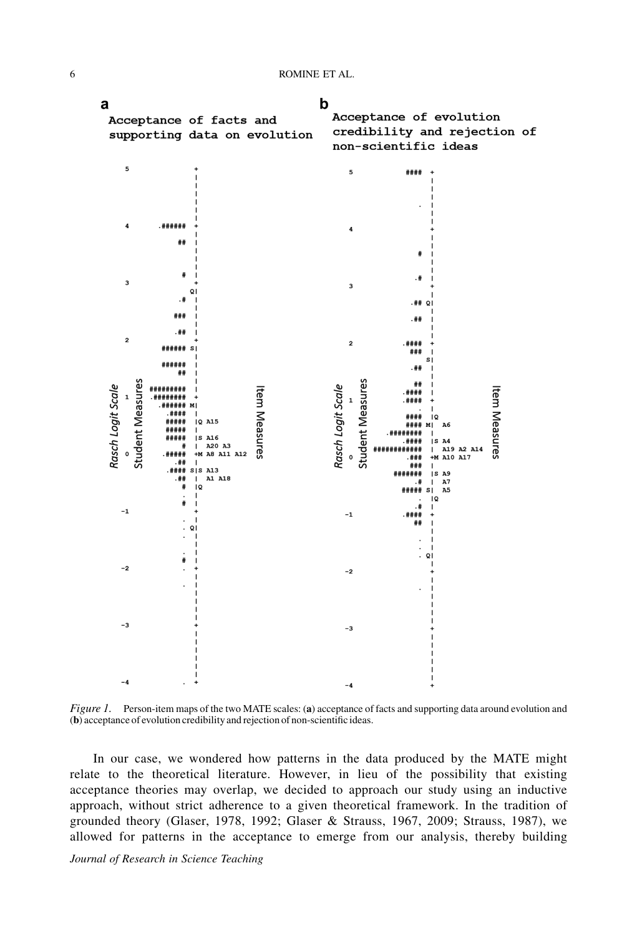6 ROMINE ET AL.



Figure 1. Person-item maps of the two MATE scales: (a) acceptance of facts and supporting data around evolution and (b) acceptance of evolution credibility and rejection of non-scientific ideas.

In our case, we wondered how patterns in the data produced by the MATE might relate to the theoretical literature. However, in lieu of the possibility that existing acceptance theories may overlap, we decided to approach our study using an inductive approach, without strict adherence to a given theoretical framework. In the tradition of grounded theory (Glaser, 1978, 1992; Glaser & Strauss, 1967, 2009; Strauss, 1987), we allowed for patterns in the acceptance to emerge from our analysis, thereby building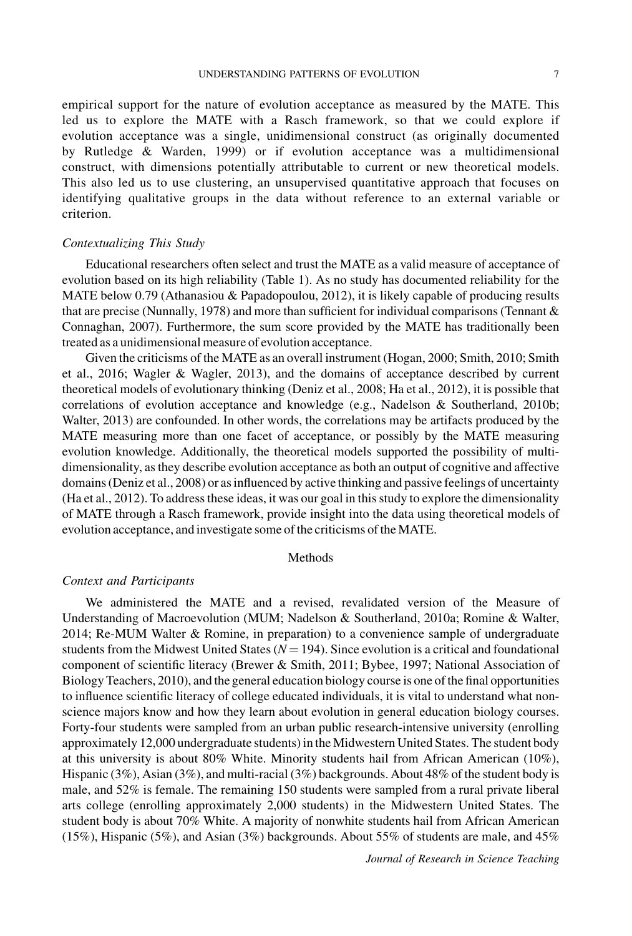empirical support for the nature of evolution acceptance as measured by the MATE. This led us to explore the MATE with a Rasch framework, so that we could explore if evolution acceptance was a single, unidimensional construct (as originally documented by Rutledge & Warden, 1999) or if evolution acceptance was a multidimensional construct, with dimensions potentially attributable to current or new theoretical models. This also led us to use clustering, an unsupervised quantitative approach that focuses on identifying qualitative groups in the data without reference to an external variable or criterion.

### Contextualizing This Study

Educational researchers often select and trust the MATE as a valid measure of acceptance of evolution based on its high reliability (Table 1). As no study has documented reliability for the MATE below 0.79 (Athanasiou & Papadopoulou, 2012), it is likely capable of producing results that are precise (Nunnally, 1978) and more than sufficient for individual comparisons (Tennant & Connaghan, 2007). Furthermore, the sum score provided by the MATE has traditionally been treated as a unidimensional measure of evolution acceptance.

Given the criticisms of the MATE as an overall instrument (Hogan, 2000; Smith, 2010; Smith et al., 2016; Wagler & Wagler, 2013), and the domains of acceptance described by current theoretical models of evolutionary thinking (Deniz et al., 2008; Ha et al., 2012), it is possible that correlations of evolution acceptance and knowledge (e.g., Nadelson & Southerland, 2010b; Walter, 2013) are confounded. In other words, the correlations may be artifacts produced by the MATE measuring more than one facet of acceptance, or possibly by the MATE measuring evolution knowledge. Additionally, the theoretical models supported the possibility of multidimensionality, as they describe evolution acceptance as both an output of cognitive and affective domains (Deniz et al., 2008) or as influenced by active thinking and passive feelings of uncertainty (Ha et al., 2012). To address these ideas, it was our goal in this study to explore the dimensionality of MATE through a Rasch framework, provide insight into the data using theoretical models of evolution acceptance, and investigate some of the criticisms of the MATE.

### Methods

## Context and Participants

We administered the MATE and a revised, revalidated version of the Measure of Understanding of Macroevolution (MUM; Nadelson & Southerland, 2010a; Romine & Walter, 2014; Re-MUM Walter & Romine, in preparation) to a convenience sample of undergraduate students from the Midwest United States  $(N = 194)$ . Since evolution is a critical and foundational component of scientific literacy (Brewer & Smith, 2011; Bybee, 1997; National Association of Biology Teachers, 2010), and the general education biology course is one of the final opportunities to influence scientific literacy of college educated individuals, it is vital to understand what nonscience majors know and how they learn about evolution in general education biology courses. Forty-four students were sampled from an urban public research-intensive university (enrolling approximately 12,000 undergraduate students) in the Midwestern United States. The student body at this university is about 80% White. Minority students hail from African American (10%), Hispanic (3%), Asian (3%), and multi-racial (3%) backgrounds. About 48% of the student body is male, and 52% is female. The remaining 150 students were sampled from a rural private liberal arts college (enrolling approximately 2,000 students) in the Midwestern United States. The student body is about 70% White. A majority of nonwhite students hail from African American (15%), Hispanic (5%), and Asian (3%) backgrounds. About 55% of students are male, and 45%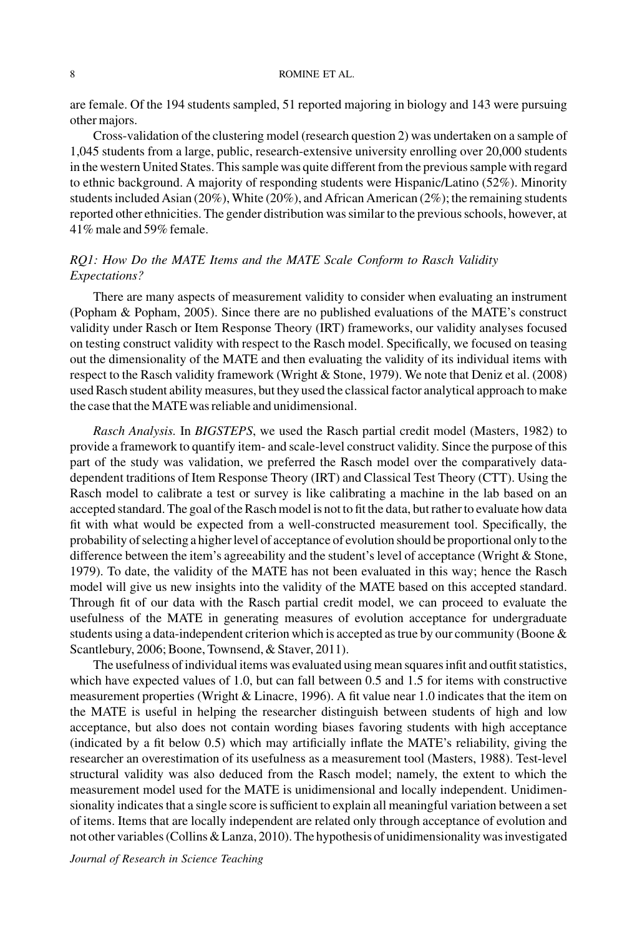### 8 ROMINE ET AL.

are female. Of the 194 students sampled, 51 reported majoring in biology and 143 were pursuing other majors.

Cross-validation of the clustering model (research question 2) was undertaken on a sample of 1,045 students from a large, public, research-extensive university enrolling over 20,000 students in the western United States. This sample was quite different from the previous sample with regard to ethnic background. A majority of responding students were Hispanic/Latino (52%). Minority students included Asian (20%), White (20%), and African American (2%); the remaining students reported other ethnicities. The gender distribution was similar to the previous schools, however, at 41% male and 59% female.

## RQ1: How Do the MATE Items and the MATE Scale Conform to Rasch Validity Expectations?

There are many aspects of measurement validity to consider when evaluating an instrument (Popham & Popham, 2005). Since there are no published evaluations of the MATE's construct validity under Rasch or Item Response Theory (IRT) frameworks, our validity analyses focused on testing construct validity with respect to the Rasch model. Specifically, we focused on teasing out the dimensionality of the MATE and then evaluating the validity of its individual items with respect to the Rasch validity framework (Wright & Stone, 1979). We note that Deniz et al. (2008) used Rasch student ability measures, but they used the classical factor analytical approach to make the case that the MATE was reliable and unidimensional.

Rasch Analysis. In BIGSTEPS, we used the Rasch partial credit model (Masters, 1982) to provide a framework to quantify item- and scale-level construct validity. Since the purpose of this part of the study was validation, we preferred the Rasch model over the comparatively datadependent traditions of Item Response Theory (IRT) and Classical Test Theory (CTT). Using the Rasch model to calibrate a test or survey is like calibrating a machine in the lab based on an accepted standard. The goal of the Rasch model is not to fit the data, but rather to evaluate how data fit with what would be expected from a well-constructed measurement tool. Specifically, the probability of selecting a higher level of acceptance of evolution should be proportional only to the difference between the item's agreeability and the student's level of acceptance (Wright & Stone, 1979). To date, the validity of the MATE has not been evaluated in this way; hence the Rasch model will give us new insights into the validity of the MATE based on this accepted standard. Through fit of our data with the Rasch partial credit model, we can proceed to evaluate the usefulness of the MATE in generating measures of evolution acceptance for undergraduate students using a data-independent criterion which is accepted as true by our community (Boone  $\&$ Scantlebury, 2006; Boone, Townsend, & Staver, 2011).

The usefulness of individual items was evaluated using mean squares infit and outfit statistics, which have expected values of 1.0, but can fall between 0.5 and 1.5 for items with constructive measurement properties (Wright & Linacre, 1996). A fit value near 1.0 indicates that the item on the MATE is useful in helping the researcher distinguish between students of high and low acceptance, but also does not contain wording biases favoring students with high acceptance (indicated by a fit below 0.5) which may artificially inflate the MATE's reliability, giving the researcher an overestimation of its usefulness as a measurement tool (Masters, 1988). Test-level structural validity was also deduced from the Rasch model; namely, the extent to which the measurement model used for the MATE is unidimensional and locally independent. Unidimensionality indicates that a single score is sufficient to explain all meaningful variation between a set of items. Items that are locally independent are related only through acceptance of evolution and not other variables (Collins & Lanza, 2010). The hypothesis of unidimensionality was investigated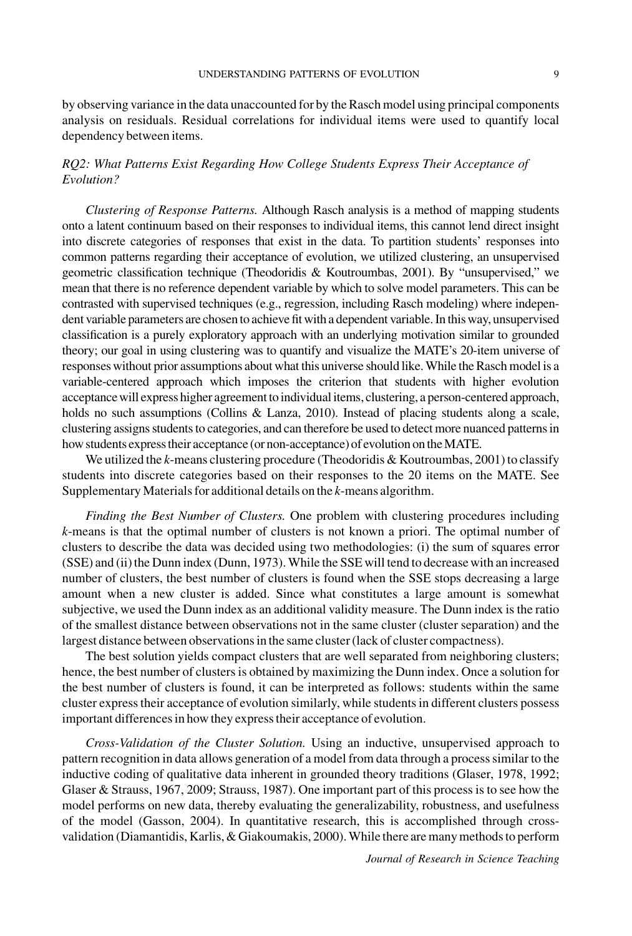by observing variance in the data unaccounted for by the Rasch model using principal components analysis on residuals. Residual correlations for individual items were used to quantify local dependency between items.

## RQ2: What Patterns Exist Regarding How College Students Express Their Acceptance of Evolution?

Clustering of Response Patterns. Although Rasch analysis is a method of mapping students onto a latent continuum based on their responses to individual items, this cannot lend direct insight into discrete categories of responses that exist in the data. To partition students' responses into common patterns regarding their acceptance of evolution, we utilized clustering, an unsupervised geometric classification technique (Theodoridis & Koutroumbas, 2001). By "unsupervised," we mean that there is no reference dependent variable by which to solve model parameters. This can be contrasted with supervised techniques (e.g., regression, including Rasch modeling) where independent variable parameters are chosen to achieve fit with a dependent variable. In this way, unsupervised classification is a purely exploratory approach with an underlying motivation similar to grounded theory; our goal in using clustering was to quantify and visualize the MATE's 20-item universe of responses without prior assumptions about what this universe should like.While the Rasch model is a variable-centered approach which imposes the criterion that students with higher evolution acceptance will express higher agreement to individual items, clustering, a person-centered approach, holds no such assumptions (Collins & Lanza, 2010). Instead of placing students along a scale, clustering assigns students to categories, and can therefore be used to detect more nuanced patterns in how students express their acceptance (or non-acceptance) of evolution on the MATE.

We utilized the  $k$ -means clustering procedure (Theodoridis  $\&$  Koutroumbas, 2001) to classify students into discrete categories based on their responses to the 20 items on the MATE. See Supplementary Materials for additional details on the k-means algorithm.

Finding the Best Number of Clusters. One problem with clustering procedures including k-means is that the optimal number of clusters is not known a priori. The optimal number of clusters to describe the data was decided using two methodologies: (i) the sum of squares error (SSE) and (ii) the Dunn index (Dunn, 1973).While the SSE will tend to decrease with an increased number of clusters, the best number of clusters is found when the SSE stops decreasing a large amount when a new cluster is added. Since what constitutes a large amount is somewhat subjective, we used the Dunn index as an additional validity measure. The Dunn index is the ratio of the smallest distance between observations not in the same cluster (cluster separation) and the largest distance between observations in the same cluster (lack of cluster compactness).

The best solution yields compact clusters that are well separated from neighboring clusters; hence, the best number of clusters is obtained by maximizing the Dunn index. Once a solution for the best number of clusters is found, it can be interpreted as follows: students within the same cluster express their acceptance of evolution similarly, while students in different clusters possess important differences in how they express their acceptance of evolution.

Cross-Validation of the Cluster Solution. Using an inductive, unsupervised approach to pattern recognition in data allows generation of a model from data through a process similar to the inductive coding of qualitative data inherent in grounded theory traditions (Glaser, 1978, 1992; Glaser & Strauss, 1967, 2009; Strauss, 1987). One important part of this process is to see how the model performs on new data, thereby evaluating the generalizability, robustness, and usefulness of the model (Gasson, 2004). In quantitative research, this is accomplished through crossvalidation (Diamantidis, Karlis, & Giakoumakis, 2000).While there are many methods to perform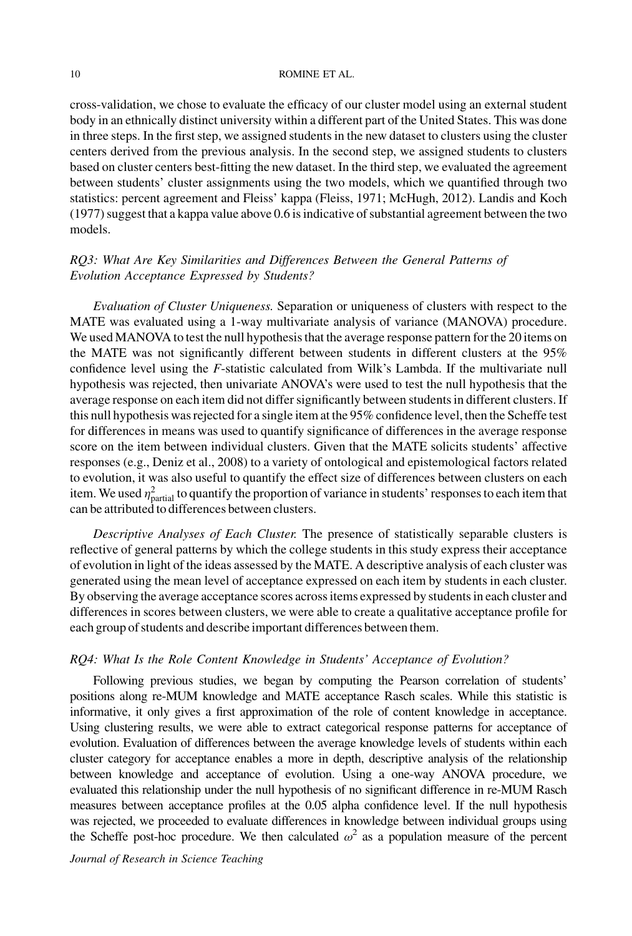#### 10 ROMINE ET AL.

cross-validation, we chose to evaluate the efficacy of our cluster model using an external student body in an ethnically distinct university within a different part of the United States. This was done in three steps. In the first step, we assigned students in the new dataset to clusters using the cluster centers derived from the previous analysis. In the second step, we assigned students to clusters based on cluster centers best-fitting the new dataset. In the third step, we evaluated the agreement between students' cluster assignments using the two models, which we quantified through two statistics: percent agreement and Fleiss' kappa (Fleiss, 1971; McHugh, 2012). Landis and Koch (1977) suggest that a kappa value above 0.6 is indicative of substantial agreement between the two models.

## RQ3: What Are Key Similarities and Differences Between the General Patterns of Evolution Acceptance Expressed by Students?

Evaluation of Cluster Uniqueness. Separation or uniqueness of clusters with respect to the MATE was evaluated using a 1-way multivariate analysis of variance (MANOVA) procedure. We used MANOVA to test the null hypothesis that the average response pattern for the 20 items on the MATE was not significantly different between students in different clusters at the 95% confidence level using the F-statistic calculated from Wilk's Lambda. If the multivariate null hypothesis was rejected, then univariate ANOVA's were used to test the null hypothesis that the average response on each item did not differ significantly between students in different clusters. If this null hypothesis was rejected for a single item at the 95% confidence level, then the Scheffe test for differences in means was used to quantify significance of differences in the average response score on the item between individual clusters. Given that the MATE solicits students' affective responses (e.g., Deniz et al., 2008) to a variety of ontological and epistemological factors related to evolution, it was also useful to quantify the effect size of differences between clusters on each item. We used  $\eta_{\text{partial}}^2$  to quantify the proportion of variance in students' responses to each item that can be attributed to differences between clusters.

Descriptive Analyses of Each Cluster. The presence of statistically separable clusters is reflective of general patterns by which the college students in this study express their acceptance of evolution in light of the ideas assessed by the MATE. A descriptive analysis of each cluster was generated using the mean level of acceptance expressed on each item by students in each cluster. By observing the average acceptance scores across items expressed by students in each cluster and differences in scores between clusters, we were able to create a qualitative acceptance profile for each group of students and describe important differences between them.

## RQ4: What Is the Role Content Knowledge in Students' Acceptance of Evolution?

Following previous studies, we began by computing the Pearson correlation of students' positions along re-MUM knowledge and MATE acceptance Rasch scales. While this statistic is informative, it only gives a first approximation of the role of content knowledge in acceptance. Using clustering results, we were able to extract categorical response patterns for acceptance of evolution. Evaluation of differences between the average knowledge levels of students within each cluster category for acceptance enables a more in depth, descriptive analysis of the relationship between knowledge and acceptance of evolution. Using a one-way ANOVA procedure, we evaluated this relationship under the null hypothesis of no significant difference in re-MUM Rasch measures between acceptance profiles at the 0.05 alpha confidence level. If the null hypothesis was rejected, we proceeded to evaluate differences in knowledge between individual groups using the Scheffe post-hoc procedure. We then calculated  $\omega^2$  as a population measure of the percent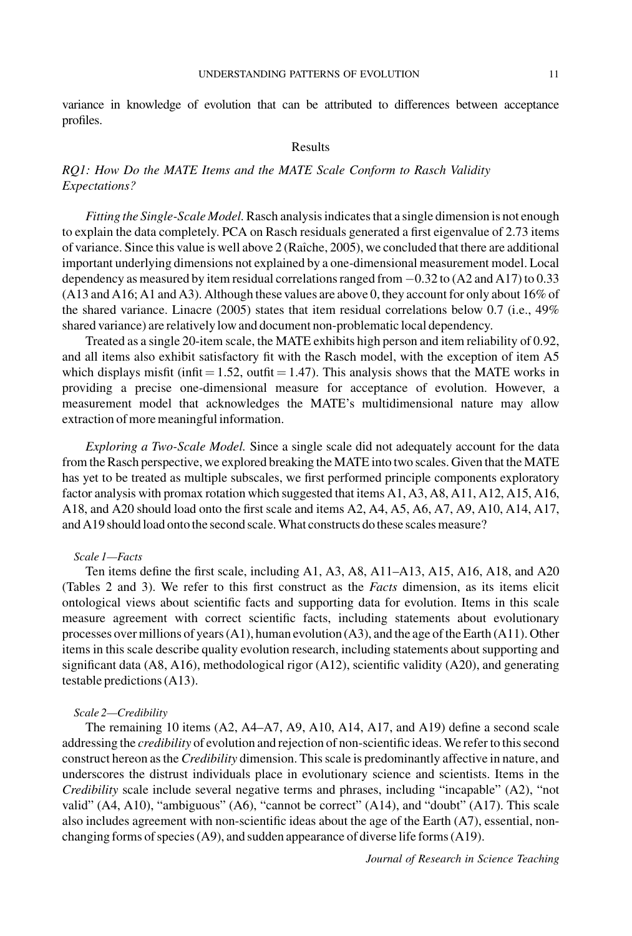variance in knowledge of evolution that can be attributed to differences between acceptance profiles.

#### Results

## RQ1: How Do the MATE Items and the MATE Scale Conform to Rasch Validity Expectations?

Fitting the Single-Scale Model. Rasch analysis indicates that a single dimension is not enough to explain the data completely. PCA on Rasch residuals generated a first eigenvalue of 2.73 items of variance. Since this value is well above  $2$  (Raîche, 2005), we concluded that there are additional important underlying dimensions not explained by a one-dimensional measurement model. Local dependency as measured by item residual correlations ranged from  $-0.32$  to (A2 and A17) to 0.33 (A13 and A16; A1 and A3). Although these values are above 0, they account for only about 16% of the shared variance. Linacre (2005) states that item residual correlations below 0.7 (i.e., 49% shared variance) are relatively low and document non-problematic local dependency.

Treated as a single 20-item scale, the MATE exhibits high person and item reliability of 0.92, and all items also exhibit satisfactory fit with the Rasch model, with the exception of item A5 which displays misfit (infit  $= 1.52$ , outfit  $= 1.47$ ). This analysis shows that the MATE works in providing a precise one-dimensional measure for acceptance of evolution. However, a measurement model that acknowledges the MATE's multidimensional nature may allow extraction of more meaningful information.

Exploring a Two-Scale Model. Since a single scale did not adequately account for the data from the Rasch perspective, we explored breaking the MATE into two scales. Given that the MATE has yet to be treated as multiple subscales, we first performed principle components exploratory factor analysis with promax rotation which suggested that items A1, A3, A8, A11, A12, A15, A16, A18, and A20 should load onto the first scale and items A2, A4, A5, A6, A7, A9, A10, A14, A17, and A19 should load onto the second scale. What constructs do these scales measure?

### Scale 1—Facts

Ten items define the first scale, including A1, A3, A8, A11–A13, A15, A16, A18, and A20 (Tables 2 and 3). We refer to this first construct as the Facts dimension, as its items elicit ontological views about scientific facts and supporting data for evolution. Items in this scale measure agreement with correct scientific facts, including statements about evolutionary processes over millions of years (A1), human evolution (A3), and the age of the Earth (A11). Other items in this scale describe quality evolution research, including statements about supporting and significant data (A8, A16), methodological rigor (A12), scientific validity (A20), and generating testable predictions (A13).

#### Scale 2—Credibility

The remaining 10 items (A2, A4–A7, A9, A10, A14, A17, and A19) define a second scale addressing the credibility of evolution and rejection of non-scientific ideas. We refer to this second construct hereon as the *Credibility* dimension. This scale is predominantly affective in nature, and underscores the distrust individuals place in evolutionary science and scientists. Items in the Credibility scale include several negative terms and phrases, including "incapable" (A2), "not valid" (A4, A10), "ambiguous" (A6), "cannot be correct" (A14), and "doubt" (A17). This scale also includes agreement with non-scientific ideas about the age of the Earth (A7), essential, nonchanging forms of species (A9), and sudden appearance of diverse life forms (A19).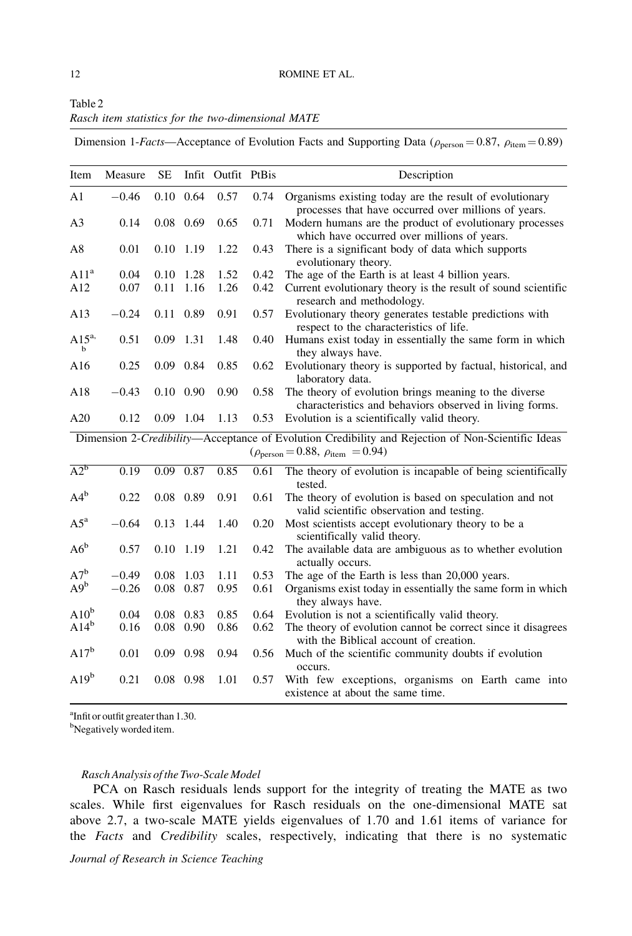| Table 2 |  |                                                    |  |
|---------|--|----------------------------------------------------|--|
|         |  | Rasch item statistics for the two-dimensional MATE |  |

Dimension 1-Facts—Acceptance of Evolution Facts and Supporting Data ( $\rho_{\text{person}} = 0.87$ ,  $\rho_{\text{item}} = 0.89$ )

| Item             | Measure | $\rm SE$ |                   | Infit Outfit PtBis |          | Description                                                                                                                                       |
|------------------|---------|----------|-------------------|--------------------|----------|---------------------------------------------------------------------------------------------------------------------------------------------------|
| A1               | $-0.46$ |          | $0.10 \quad 0.64$ | 0.57               | 0.74     | Organisms existing today are the result of evolutionary<br>processes that have occurred over millions of years.                                   |
| A <sub>3</sub>   | 0.14    |          | $0.08$ 0.69       | 0.65               | 0.71     | Modern humans are the product of evolutionary processes<br>which have occurred over millions of years.                                            |
| A8               | 0.01    |          | $0.10$ 1.19       | 1.22               | 0.43     | There is a significant body of data which supports<br>evolutionary theory.                                                                        |
| A11 <sup>a</sup> | 0.04    |          | $0.10$ 1.28       | 1.52               | 0.42     | The age of the Earth is at least 4 billion years.                                                                                                 |
| A12              | 0.07    | 0.11     | 1.16              | 1.26               | 0.42     | Current evolutionary theory is the result of sound scientific<br>research and methodology.                                                        |
| A13              | $-0.24$ |          | 0.11 0.89         | 0.91               | 0.57     | Evolutionary theory generates testable predictions with<br>respect to the characteristics of life.                                                |
| $A15^{a}$<br>b   | 0.51    |          | 0.09 1.31         | 1.48               | 0.40     | Humans exist today in essentially the same form in which<br>they always have.                                                                     |
| A16              | 0.25    |          | $0.09$ 0.84       | 0.85               | 0.62     | Evolutionary theory is supported by factual, historical, and<br>laboratory data.                                                                  |
| A18              | $-0.43$ |          | $0.10\ 0.90$      | 0.90               | 0.58     | The theory of evolution brings meaning to the diverse<br>characteristics and behaviors observed in living forms.                                  |
| A20              | 0.12    |          | 0.09 1.04         | 1.13               | 0.53     | Evolution is a scientifically valid theory.                                                                                                       |
|                  |         |          |                   |                    |          | Dimension 2-Credibility-Acceptance of Evolution Credibility and Rejection of Non-Scientific Ideas<br>$(\rho_{person} = 0.88, \rho_{item} = 0.94)$ |
| $A2^b$           | 0.19    |          | 0.09 0.87         | 0.85               | 0.61     | The theory of evolution is incapable of being scientifically<br>tested.                                                                           |
| $A4^b$           | 0.22    |          | $0.08$ 0.89       | 0.91               | 0.61     | The theory of evolution is based on speculation and not<br>valid scientific observation and testing.                                              |
| $A5^a$           | $-0.64$ | 0.13     | 1.44              | 1.40               | 0.20     | Most scientists accept evolutionary theory to be a<br>scientifically valid theory.                                                                |
| $A6^b$           | 0.57    |          | $0.10$ 1.19       | 1.21               | 0.42     | The available data are ambiguous as to whether evolution<br>actually occurs.                                                                      |
| $A7^b$           | $-0.49$ |          | 0.08 1.03         | 1.11               | 0.53     | The age of the Earth is less than 20,000 years.                                                                                                   |
| $A9^b$           | $-0.26$ |          | $0.08$ 0.87       | 0.95               | $0.61\,$ | Organisms exist today in essentially the same form in which<br>they always have.                                                                  |
| $A10^b$          | 0.04    | 0.08     | 0.83              | 0.85               | 0.64     | Evolution is not a scientifically valid theory.                                                                                                   |
| $A14^b$          | 0.16    |          | $0.08$ 0.90       | 0.86               | 0.62     | The theory of evolution cannot be correct since it disagrees<br>with the Biblical account of creation.                                            |
| $A17^b$          | 0.01    |          | 0.09 0.98         | 0.94               | 0.56     | Much of the scientific community doubts if evolution<br>occurs.                                                                                   |
| $A19^b$          | 0.21    |          | 0.08 0.98         | 1.01               | 0.57     | With few exceptions, organisms on Earth came into<br>existence at about the same time.                                                            |

a Infit or outfit greater than 1.30.

<sup>b</sup>Negatively worded item.

### Rasch Analysis of the Two-Scale Model

PCA on Rasch residuals lends support for the integrity of treating the MATE as two scales. While first eigenvalues for Rasch residuals on the one-dimensional MATE sat above 2.7, a two-scale MATE yields eigenvalues of 1.70 and 1.61 items of variance for the Facts and Credibility scales, respectively, indicating that there is no systematic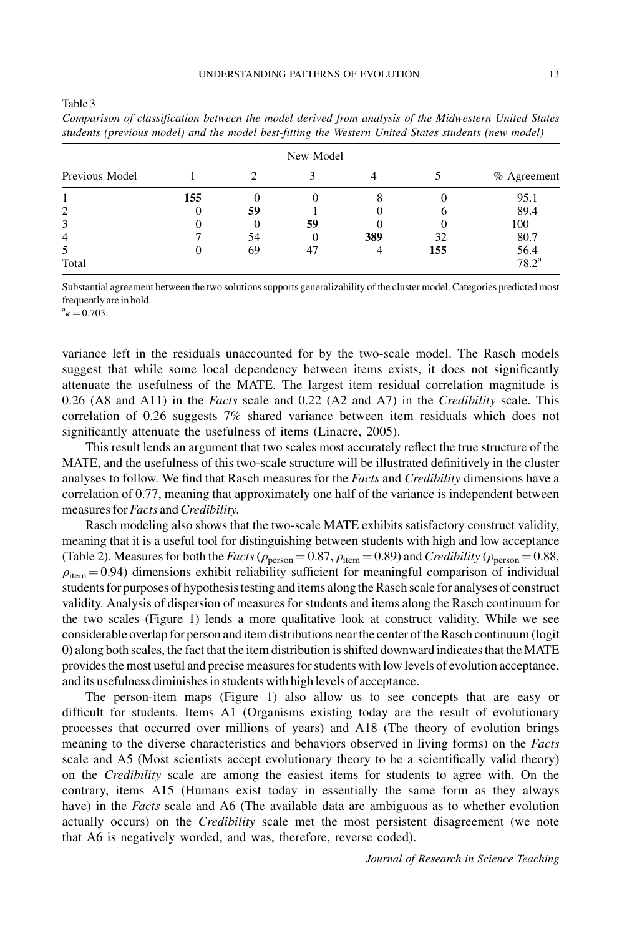| Previous Model |     |    |    |     |     | % Agreement    |
|----------------|-----|----|----|-----|-----|----------------|
|                | 155 |    |    |     |     | 95.1           |
| 2              | 0   | 59 |    |     |     | 89.4           |
| 3              | 0   |    | 59 |     |     | 100            |
| $\overline{4}$ |     | 54 | O  | 389 | 32  | 80.7           |
| 5              | 0   | 69 | 47 |     | 155 | 56.4           |
| Total          |     |    |    |     |     | $78.2^{\rm a}$ |

Comparison of classification between the model derived from analysis of the Midwestern United States students (previous model) and the model best-fitting the Western United States students (new model)

Substantial agreement between the two solutions supports generalizability of the cluster model. Categories predicted most frequently are in bold.

 $^{\rm a}$  $\kappa$  = 0.703.

Table 3

variance left in the residuals unaccounted for by the two-scale model. The Rasch models suggest that while some local dependency between items exists, it does not significantly attenuate the usefulness of the MATE. The largest item residual correlation magnitude is 0.26 (A8 and A11) in the *Facts* scale and 0.22 (A2 and A7) in the *Credibility* scale. This correlation of 0.26 suggests 7% shared variance between item residuals which does not significantly attenuate the usefulness of items (Linacre, 2005).

This result lends an argument that two scales most accurately reflect the true structure of the MATE, and the usefulness of this two-scale structure will be illustrated definitively in the cluster analyses to follow. We find that Rasch measures for the Facts and Credibility dimensions have a correlation of 0.77, meaning that approximately one half of the variance is independent between measures for Facts and Credibility.

Rasch modeling also shows that the two-scale MATE exhibits satisfactory construct validity, meaning that it is a useful tool for distinguishing between students with high and low acceptance (Table 2). Measures for both the Facts ( $\rho_{person} = 0.87$ ,  $\rho_{item} = 0.89$ ) and Credibility ( $\rho_{person} = 0.88$ ,  $\rho_{\text{item}} = 0.94$ ) dimensions exhibit reliability sufficient for meaningful comparison of individual students for purposes of hypothesis testing and items along the Rasch scale for analyses of construct validity. Analysis of dispersion of measures for students and items along the Rasch continuum for the two scales (Figure 1) lends a more qualitative look at construct validity. While we see considerable overlap for person and item distributions near the center of the Rasch continuum (logit 0) along both scales, the fact that the item distribution is shifted downward indicates that the MATE provides the most useful and precise measures for students with low levels of evolution acceptance, and its usefulness diminishes in students with high levels of acceptance.

The person-item maps (Figure 1) also allow us to see concepts that are easy or difficult for students. Items A1 (Organisms existing today are the result of evolutionary processes that occurred over millions of years) and A18 (The theory of evolution brings meaning to the diverse characteristics and behaviors observed in living forms) on the Facts scale and A5 (Most scientists accept evolutionary theory to be a scientifically valid theory) on the Credibility scale are among the easiest items for students to agree with. On the contrary, items A15 (Humans exist today in essentially the same form as they always have) in the *Facts* scale and A6 (The available data are ambiguous as to whether evolution actually occurs) on the Credibility scale met the most persistent disagreement (we note that A6 is negatively worded, and was, therefore, reverse coded).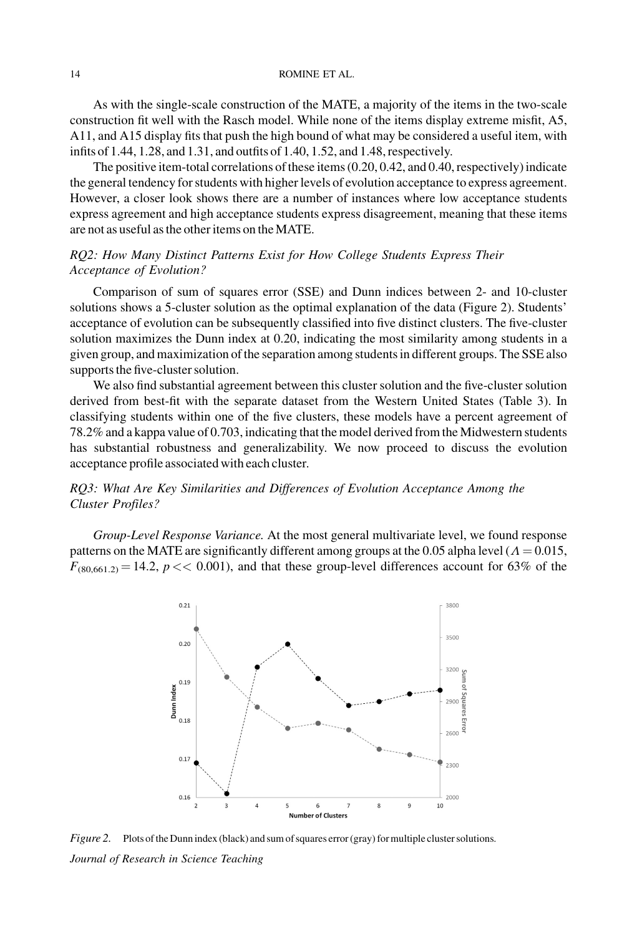As with the single-scale construction of the MATE, a majority of the items in the two-scale construction fit well with the Rasch model. While none of the items display extreme misfit, A5, A11, and A15 display fits that push the high bound of what may be considered a useful item, with infits of 1.44, 1.28, and 1.31, and outfits of 1.40, 1.52, and 1.48, respectively.

The positive item-total correlations of these items (0.20, 0.42, and 0.40, respectively) indicate the general tendency for students with higher levels of evolution acceptance to express agreement. However, a closer look shows there are a number of instances where low acceptance students express agreement and high acceptance students express disagreement, meaning that these items are not as useful as the other items on the MATE.

## RQ2: How Many Distinct Patterns Exist for How College Students Express Their Acceptance of Evolution?

Comparison of sum of squares error (SSE) and Dunn indices between 2- and 10-cluster solutions shows a 5-cluster solution as the optimal explanation of the data (Figure 2). Students' acceptance of evolution can be subsequently classified into five distinct clusters. The five-cluster solution maximizes the Dunn index at 0.20, indicating the most similarity among students in a given group, and maximization of the separation among students in different groups. The SSE also supports the five-cluster solution.

We also find substantial agreement between this cluster solution and the five-cluster solution derived from best-fit with the separate dataset from the Western United States (Table 3). In classifying students within one of the five clusters, these models have a percent agreement of 78.2% and a kappa value of 0.703, indicating that the model derived from the Midwestern students has substantial robustness and generalizability. We now proceed to discuss the evolution acceptance profile associated with each cluster.

## RQ3: What Are Key Similarities and Differences of Evolution Acceptance Among the Cluster Profiles?

Group-Level Response Variance. At the most general multivariate level, we found response patterns on the MATE are significantly different among groups at the 0.05 alpha level ( $\Lambda$  = 0.015,  $F_{(80,661.2)} = 14.2$ ,  $p \ll 0.001$ ), and that these group-level differences account for 63% of the



Figure 2. Plots of the Dunn index (black) and sum of squares error (gray) for multiple cluster solutions. Journal of Research in Science Teaching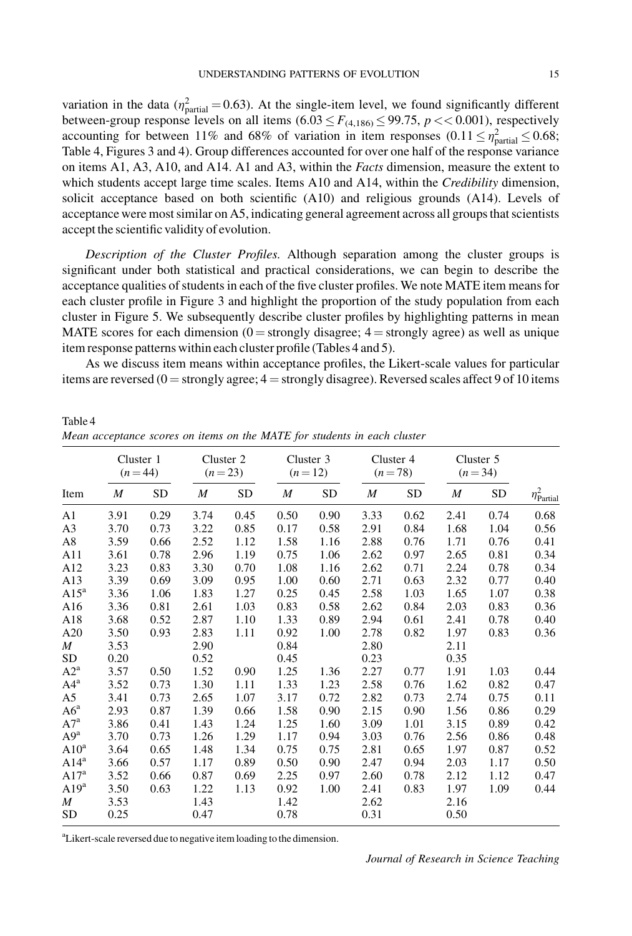variation in the data ( $\eta_{\text{partial}}^2 = 0.63$ ). At the single-item level, we found significantly different between-group response levels on all items  $(6.03 \le F_{(4,186)} \le 99.75, p \lt 0.001)$ , respectively accounting for between 11% and 68% of variation in item responses  $(0.11 \le \eta_{\text{partial}}^2 \le 0.68;$ Table 4, Figures 3 and 4). Group differences accounted for over one half of the response variance on items A1, A3, A10, and A14. A1 and A3, within the Facts dimension, measure the extent to which students accept large time scales. Items A10 and A14, within the *Credibility* dimension, solicit acceptance based on both scientific (A10) and religious grounds (A14). Levels of acceptance were most similar on A5, indicating general agreement across all groups that scientists accept the scientific validity of evolution.

Description of the Cluster Profiles. Although separation among the cluster groups is significant under both statistical and practical considerations, we can begin to describe the acceptance qualities of students in each of the five cluster profiles. We note MATE item means for each cluster profile in Figure 3 and highlight the proportion of the study population from each cluster in Figure 5. We subsequently describe cluster profiles by highlighting patterns in mean MATE scores for each dimension ( $0 =$  strongly disagree;  $4 =$  strongly agree) as well as unique item response patterns within each cluster profile (Tables 4 and 5).

As we discuss item means within acceptance profiles, the Likert-scale values for particular items are reversed ( $0 =$  strongly agree;  $4 =$  strongly disagree). Reversed scales affect 9 of 10 items

|                  |                  | Cluster 1<br>$(n = 44)$ |                  | Cluster 2<br>$(n=23)$ |                  | Cluster 3<br>$(n=12)$ |                  | Cluster 4<br>$(n=78)$ |                  | Cluster 5<br>$(n=34)$ |                           |
|------------------|------------------|-------------------------|------------------|-----------------------|------------------|-----------------------|------------------|-----------------------|------------------|-----------------------|---------------------------|
| Item             | $\boldsymbol{M}$ | SD                      | $\boldsymbol{M}$ | <b>SD</b>             | $\boldsymbol{M}$ | <b>SD</b>             | $\boldsymbol{M}$ | SD                    | $\boldsymbol{M}$ | <b>SD</b>             | $\eta_{\text{Partial}}^2$ |
| A <sub>1</sub>   | 3.91             | 0.29                    | 3.74             | 0.45                  | 0.50             | 0.90                  | 3.33             | 0.62                  | 2.41             | 0.74                  | 0.68                      |
| A <sub>3</sub>   | 3.70             | 0.73                    | 3.22             | 0.85                  | 0.17             | 0.58                  | 2.91             | 0.84                  | 1.68             | 1.04                  | 0.56                      |
| A8               | 3.59             | 0.66                    | 2.52             | 1.12                  | 1.58             | 1.16                  | 2.88             | 0.76                  | 1.71             | 0.76                  | 0.41                      |
| A11              | 3.61             | 0.78                    | 2.96             | 1.19                  | 0.75             | 1.06                  | 2.62             | 0.97                  | 2.65             | 0.81                  | 0.34                      |
| A12              | 3.23             | 0.83                    | 3.30             | 0.70                  | 1.08             | 1.16                  | 2.62             | 0.71                  | 2.24             | 0.78                  | 0.34                      |
| A13              | 3.39             | 0.69                    | 3.09             | 0.95                  | 1.00             | 0.60                  | 2.71             | 0.63                  | 2.32             | 0.77                  | 0.40                      |
| $A15^a$          | 3.36             | 1.06                    | 1.83             | 1.27                  | 0.25             | 0.45                  | 2.58             | 1.03                  | 1.65             | 1.07                  | 0.38                      |
| A16              | 3.36             | 0.81                    | 2.61             | 1.03                  | 0.83             | 0.58                  | 2.62             | 0.84                  | 2.03             | 0.83                  | 0.36                      |
| A18              | 3.68             | 0.52                    | 2.87             | 1.10                  | 1.33             | 0.89                  | 2.94             | 0.61                  | 2.41             | 0.78                  | 0.40                      |
| A20              | 3.50             | 0.93                    | 2.83             | 1.11                  | 0.92             | 1.00                  | 2.78             | 0.82                  | 1.97             | 0.83                  | 0.36                      |
| $\boldsymbol{M}$ | 3.53             |                         | 2.90             |                       | 0.84             |                       | 2.80             |                       | 2.11             |                       |                           |
| <b>SD</b>        | 0.20             |                         | 0.52             |                       | 0.45             |                       | 0.23             |                       | 0.35             |                       |                           |
| $A2^a$           | 3.57             | 0.50                    | 1.52             | 0.90                  | 1.25             | 1.36                  | 2.27             | 0.77                  | 1.91             | 1.03                  | 0.44                      |
| $A4^a$           | 3.52             | 0.73                    | 1.30             | 1.11                  | 1.33             | 1.23                  | 2.58             | 0.76                  | 1.62             | 0.82                  | 0.47                      |
| A5               | 3.41             | 0.73                    | 2.65             | 1.07                  | 3.17             | 0.72                  | 2.82             | 0.73                  | 2.74             | 0.75                  | 0.11                      |
| $A6^a$           | 2.93             | 0.87                    | 1.39             | 0.66                  | 1.58             | 0.90                  | 2.15             | 0.90                  | 1.56             | 0.86                  | 0.29                      |
| $A7^a$           | 3.86             | 0.41                    | 1.43             | 1.24                  | 1.25             | 1.60                  | 3.09             | 1.01                  | 3.15             | 0.89                  | 0.42                      |
| $A9^a$           | 3.70             | 0.73                    | 1.26             | 1.29                  | 1.17             | 0.94                  | 3.03             | 0.76                  | 2.56             | 0.86                  | 0.48                      |
| $A10^a$          | 3.64             | 0.65                    | 1.48             | 1.34                  | 0.75             | 0.75                  | 2.81             | 0.65                  | 1.97             | 0.87                  | 0.52                      |
| $A14^a$          | 3.66             | 0.57                    | 1.17             | 0.89                  | 0.50             | 0.90                  | 2.47             | 0.94                  | 2.03             | 1.17                  | 0.50                      |
| A17 <sup>a</sup> | 3.52             | 0.66                    | 0.87             | 0.69                  | 2.25             | 0.97                  | 2.60             | 0.78                  | 2.12             | 1.12                  | 0.47                      |
| A19 <sup>a</sup> | 3.50             | 0.63                    | 1.22             | 1.13                  | 0.92             | 1.00                  | 2.41             | 0.83                  | 1.97             | 1.09                  | 0.44                      |
| $\boldsymbol{M}$ | 3.53             |                         | 1.43             |                       | 1.42             |                       | 2.62             |                       | 2.16             |                       |                           |
| <b>SD</b>        | 0.25             |                         | 0.47             |                       | 0.78             |                       | 0.31             |                       | 0.50             |                       |                           |

Table 4 Mean acceptance scores on items on the MATE for students in each cluster

<sup>a</sup>Likert-scale reversed due to negative item loading to the dimension.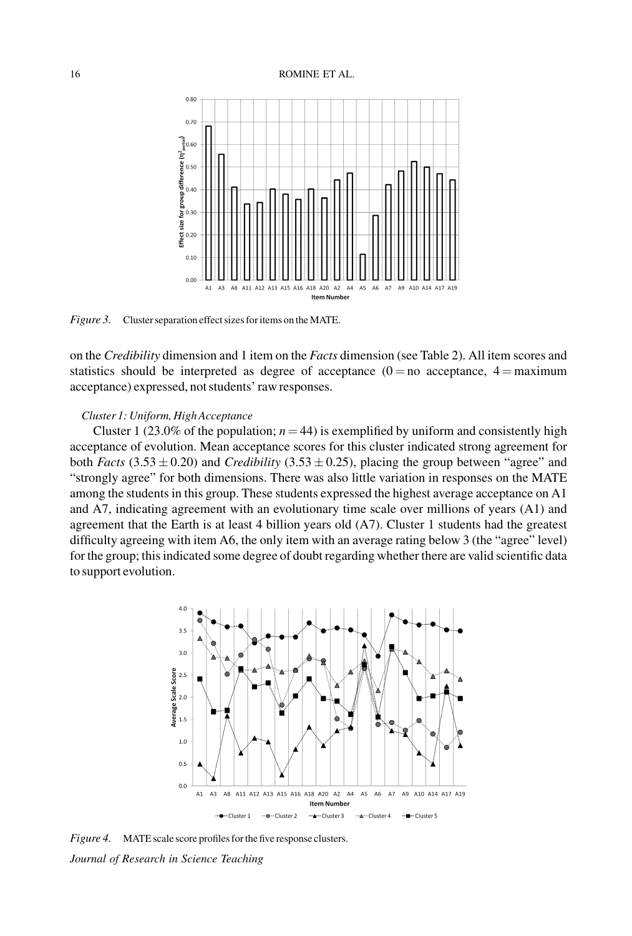#### 16 ROMINE ET AL.



Figure 3. Cluster separation effect sizes for items on the MATE.

on the Credibility dimension and 1 item on the Facts dimension (see Table 2). All item scores and statistics should be interpreted as degree of acceptance  $(0 = no$  acceptance,  $4 = maximum$ acceptance) expressed, not students' raw responses.

### Cluster 1: Uniform, High Acceptance

Cluster 1 (23.0% of the population;  $n = 44$ ) is exemplified by uniform and consistently high acceptance of evolution. Mean acceptance scores for this cluster indicated strong agreement for both Facts  $(3.53 \pm 0.20)$  and Credibility  $(3.53 \pm 0.25)$ , placing the group between "agree" and "strongly agree" for both dimensions. There was also little variation in responses on the MATE among the students in this group. These students expressed the highest average acceptance on A1 and A7, indicating agreement with an evolutionary time scale over millions of years (A1) and agreement that the Earth is at least 4 billion years old (A7). Cluster 1 students had the greatest difficulty agreeing with item A6, the only item with an average rating below 3 (the "agree" level) for the group; this indicated some degree of doubt regarding whether there are valid scientific data to support evolution.



Figure 4. MATE scale score profiles for the five response clusters. Journal of Research in Science Teaching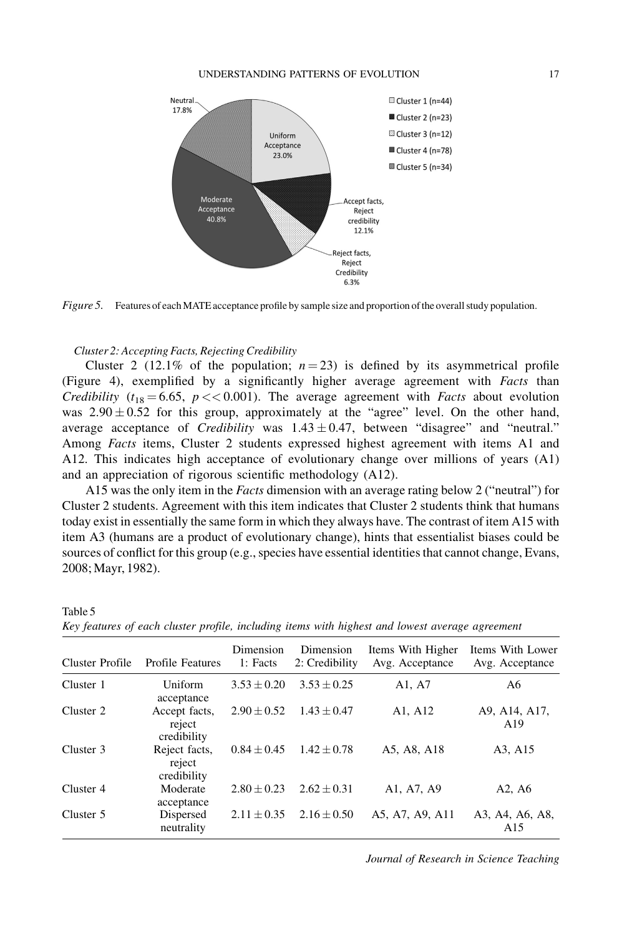

Figure 5. Features of each MATE acceptance profile by sample size and proportion of the overall study population.

### Cluster 2: Accepting Facts, Rejecting Credibility

Cluster 2 (12.1% of the population;  $n = 23$ ) is defined by its asymmetrical profile (Figure 4), exemplified by a significantly higher average agreement with Facts than *Credibility* ( $t_{18} = 6.65$ ,  $p \ll 0.001$ ). The average agreement with *Facts* about evolution was  $2.90 \pm 0.52$  for this group, approximately at the "agree" level. On the other hand, average acceptance of *Credibility* was  $1.43 \pm 0.47$ , between "disagree" and "neutral." Among *Facts* items, Cluster 2 students expressed highest agreement with items A1 and A12. This indicates high acceptance of evolutionary change over millions of years (A1) and an appreciation of rigorous scientific methodology (A12).

A15 was the only item in the *Facts* dimension with an average rating below 2 ("neutral") for Cluster 2 students. Agreement with this item indicates that Cluster 2 students think that humans today exist in essentially the same form in which they always have. The contrast of item A15 with item A3 (humans are a product of evolutionary change), hints that essentialist biases could be sources of conflict for this group (e.g., species have essential identities that cannot change, Evans, 2008; Mayr, 1982).

| Cluster Profile | <b>Profile Features</b>                | Dimension<br>1: Facts | Dimension<br>2: Credibility | Items With Higher<br>Avg. Acceptance | Items With Lower<br>Avg. Acceptance |
|-----------------|----------------------------------------|-----------------------|-----------------------------|--------------------------------------|-------------------------------------|
| Cluster 1       | Uniform<br>acceptance                  | $3.53 \pm 0.20$       | $3.53 \pm 0.25$             | A1, A7                               | A6                                  |
| Cluster 2       | Accept facts,<br>reject<br>credibility | $2.90 \pm 0.52$       | $1.43 \pm 0.47$             | A1, A12                              | A9, A14, A17,<br>A19                |
| Cluster 3       | Reject facts,<br>reject<br>credibility | $0.84 \pm 0.45$       | $1.42 \pm 0.78$             | A5, A8, A18                          | A3, A15                             |
| Cluster 4       | Moderate<br>acceptance                 | $2.80 + 0.23$         | $2.62 + 0.31$               | A1, A7, A9                           | A <sub>2</sub> , A <sub>6</sub>     |
| Cluster 5       | Dispersed<br>neutrality                | $2.11 + 0.35$         | $2.16 \pm 0.50$             | A5, A7, A9, A11                      | A3, A4, A6, A8,<br>A15              |

| Table 5                                                                                         |  |  |  |
|-------------------------------------------------------------------------------------------------|--|--|--|
| Key features of each cluster profile, including items with highest and lowest average agreement |  |  |  |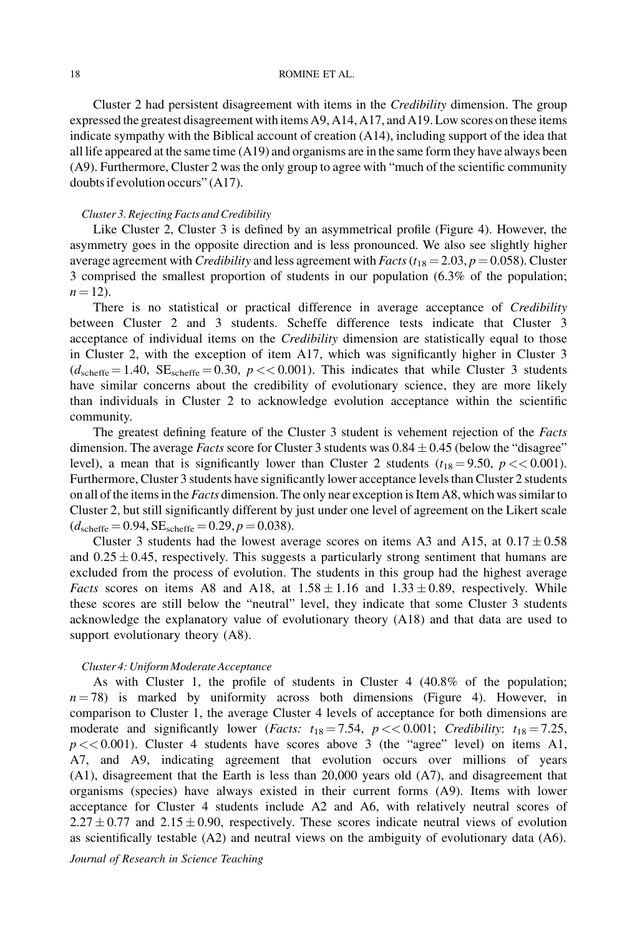Cluster 2 had persistent disagreement with items in the Credibility dimension. The group expressed the greatest disagreement with items A9, A14, A17, and A19. Low scores on these items indicate sympathy with the Biblical account of creation (A14), including support of the idea that all life appeared at the same time (A19) and organisms are in the same form they have always been (A9). Furthermore, Cluster 2 was the only group to agree with "much of the scientific community doubts if evolution occurs" (A17).

### Cluster 3. Rejecting Facts and Credibility

Like Cluster 2, Cluster 3 is defined by an asymmetrical profile (Figure 4). However, the asymmetry goes in the opposite direction and is less pronounced. We also see slightly higher average agreement with Credibility and less agreement with Facts ( $t_{18} = 2.03$ ,  $p = 0.058$ ). Cluster 3 comprised the smallest proportion of students in our population (6.3% of the population;  $n = 12$ ).

There is no statistical or practical difference in average acceptance of *Credibility* between Cluster 2 and 3 students. Scheffe difference tests indicate that Cluster 3 acceptance of individual items on the *Credibility* dimension are statistically equal to those in Cluster 2, with the exception of item A17, which was significantly higher in Cluster 3  $(d_{\text{schiffe}} = 1.40, \text{ SE}_{\text{schiffe}} = 0.30, p \ll 0.001)$ . This indicates that while Cluster 3 students have similar concerns about the credibility of evolutionary science, they are more likely than individuals in Cluster 2 to acknowledge evolution acceptance within the scientific community.

The greatest defining feature of the Cluster 3 student is vehement rejection of the Facts dimension. The average *Facts* score for Cluster 3 students was  $0.84 \pm 0.45$  (below the "disagree" level), a mean that is significantly lower than Cluster 2 students ( $t_{18} = 9.50$ ,  $p \ll 0.001$ ). Furthermore, Cluster 3 students have significantly lower acceptance levels than Cluster 2 students on all of the items in the *Facts* dimension. The only near exception is Item A8, which was similar to Cluster 2, but still significantly different by just under one level of agreement on the Likert scale  $(d_{\text{scheffe}} = 0.94, SE_{\text{scheffe}} = 0.29, p = 0.038).$ 

Cluster 3 students had the lowest average scores on items A3 and A15, at  $0.17 \pm 0.58$ and  $0.25 \pm 0.45$ , respectively. This suggests a particularly strong sentiment that humans are excluded from the process of evolution. The students in this group had the highest average *Facts* scores on items A8 and A18, at  $1.58 \pm 1.16$  and  $1.33 \pm 0.89$ , respectively. While these scores are still below the "neutral" level, they indicate that some Cluster 3 students acknowledge the explanatory value of evolutionary theory (A18) and that data are used to support evolutionary theory (A8).

#### Cluster 4: Uniform Moderate Acceptance

As with Cluster 1, the profile of students in Cluster 4 (40.8% of the population;  $n = 78$ ) is marked by uniformity across both dimensions (Figure 4). However, in comparison to Cluster 1, the average Cluster 4 levels of acceptance for both dimensions are moderate and significantly lower (*Facts:*  $t_{18} = 7.54$ ,  $p \ll 0.001$ ; *Credibility:*  $t_{18} = 7.25$ ,  $p \ll 0.001$ ). Cluster 4 students have scores above 3 (the "agree" level) on items A1, A7, and A9, indicating agreement that evolution occurs over millions of years (A1), disagreement that the Earth is less than 20,000 years old (A7), and disagreement that organisms (species) have always existed in their current forms (A9). Items with lower acceptance for Cluster 4 students include A2 and A6, with relatively neutral scores of  $2.27 \pm 0.77$  and  $2.15 \pm 0.90$ , respectively. These scores indicate neutral views of evolution as scientifically testable (A2) and neutral views on the ambiguity of evolutionary data (A6).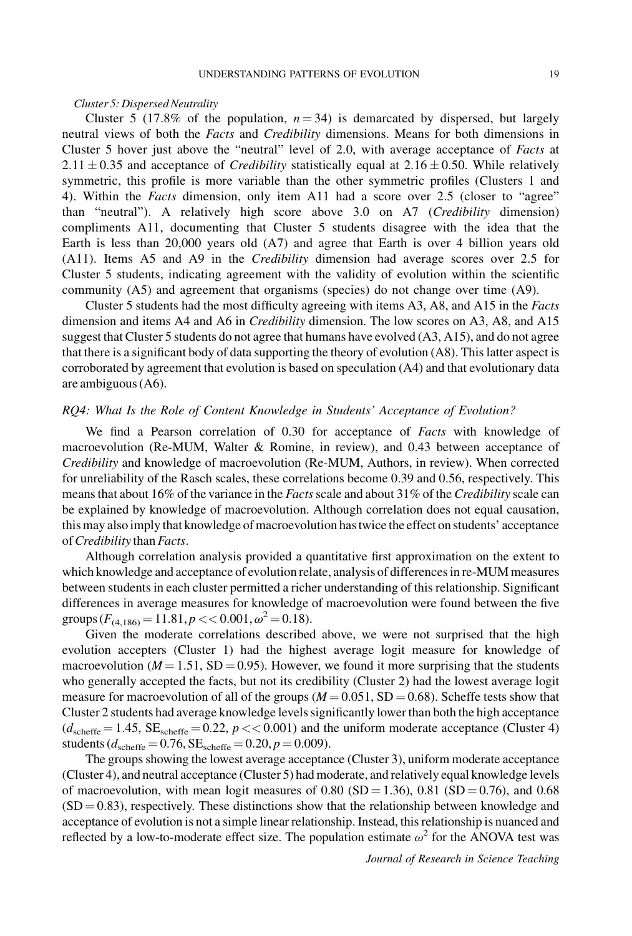### Cluster 5: Dispersed Neutrality

Cluster 5 (17.8% of the population,  $n = 34$ ) is demarcated by dispersed, but largely neutral views of both the Facts and Credibility dimensions. Means for both dimensions in Cluster 5 hover just above the "neutral" level of 2.0, with average acceptance of Facts at  $2.11 \pm 0.35$  and acceptance of *Credibility* statistically equal at  $2.16 \pm 0.50$ . While relatively symmetric, this profile is more variable than the other symmetric profiles (Clusters 1 and 4). Within the Facts dimension, only item A11 had a score over 2.5 (closer to "agree" than "neutral"). A relatively high score above 3.0 on A7 (Credibility dimension) compliments A11, documenting that Cluster 5 students disagree with the idea that the Earth is less than 20,000 years old (A7) and agree that Earth is over 4 billion years old (A11). Items A5 and A9 in the Credibility dimension had average scores over 2.5 for Cluster 5 students, indicating agreement with the validity of evolution within the scientific community (A5) and agreement that organisms (species) do not change over time (A9).

Cluster 5 students had the most difficulty agreeing with items A3, A8, and A15 in the Facts dimension and items A4 and A6 in Credibility dimension. The low scores on A3, A8, and A15 suggest that Cluster 5 students do not agree that humans have evolved (A3, A15), and do not agree that there is a significant body of data supporting the theory of evolution (A8). This latter aspect is corroborated by agreement that evolution is based on speculation (A4) and that evolutionary data are ambiguous (A6).

### RQ4: What Is the Role of Content Knowledge in Students' Acceptance of Evolution?

We find a Pearson correlation of 0.30 for acceptance of Facts with knowledge of macroevolution (Re-MUM, Walter & Romine, in review), and 0.43 between acceptance of Credibility and knowledge of macroevolution (Re-MUM, Authors, in review). When corrected for unreliability of the Rasch scales, these correlations become 0.39 and 0.56, respectively. This means that about 16% of the variance in the Facts scale and about 31% of the Credibility scale can be explained by knowledge of macroevolution. Although correlation does not equal causation, this may also imply that knowledge of macroevolution has twice the effect on students' acceptance ofCredibility than Facts.

Although correlation analysis provided a quantitative first approximation on the extent to which knowledge and acceptance of evolution relate, analysis of differences in re-MUM measures between students in each cluster permitted a richer understanding of this relationship. Significant differences in average measures for knowledge of macroevolution were found between the five groups  $(F_{(4.186)} = 11.81, p \lt 0.001, \omega^2 = 0.18)$ .

Given the moderate correlations described above, we were not surprised that the high evolution accepters (Cluster 1) had the highest average logit measure for knowledge of macroevolution ( $M = 1.51$ , SD = 0.95). However, we found it more surprising that the students who generally accepted the facts, but not its credibility (Cluster 2) had the lowest average logit measure for macroevolution of all of the groups ( $M = 0.051$ , SD = 0.68). Scheffe tests show that Cluster 2 students had average knowledge levels significantly lower than both the high acceptance  $(d_{\text{schiffe}} = 1.45, SE_{\text{schiffe}} = 0.22, p \ll 0.001)$  and the uniform moderate acceptance (Cluster 4) students ( $d_{\text{scheffe}} = 0.76$ ,  $SE_{\text{scheffe}} = 0.20$ ,  $p = 0.009$ ).

The groups showing the lowest average acceptance (Cluster 3), uniform moderate acceptance (Cluster 4), and neutral acceptance (Cluster 5) had moderate, and relatively equal knowledge levels of macroevolution, with mean logit measures of 0.80 (SD = 1.36), 0.81 (SD = 0.76), and 0.68  $(SD = 0.83)$ , respectively. These distinctions show that the relationship between knowledge and acceptance of evolution is not a simple linear relationship. Instead, this relationship is nuanced and reflected by a low-to-moderate effect size. The population estimate  $\omega^2$  for the ANOVA test was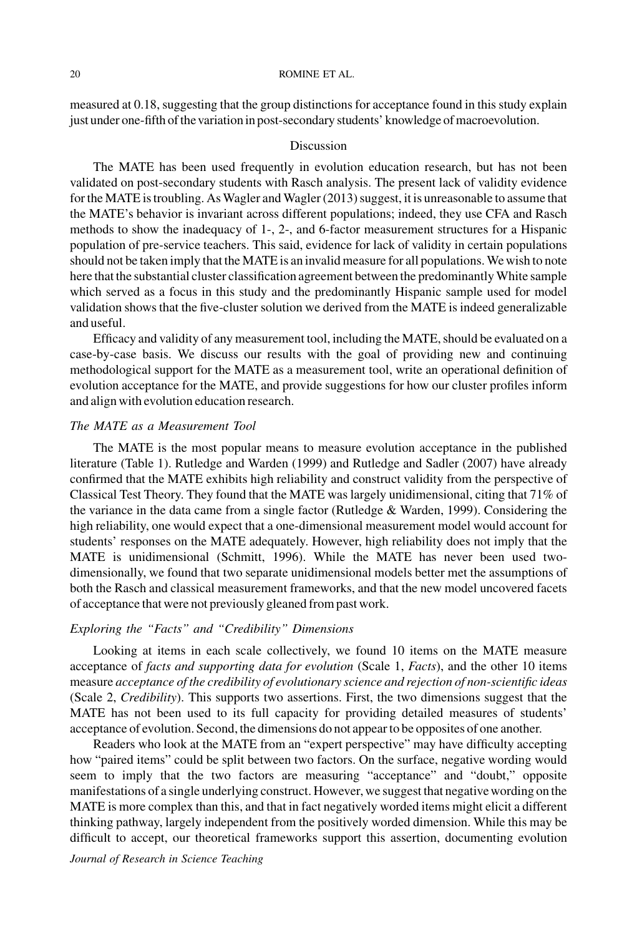measured at 0.18, suggesting that the group distinctions for acceptance found in this study explain just under one-fifth of the variation in post-secondary students' knowledge of macroevolution.

### Discussion

The MATE has been used frequently in evolution education research, but has not been validated on post-secondary students with Rasch analysis. The present lack of validity evidence for the MATE is troubling. AsWagler and Wagler (2013) suggest, it is unreasonable to assume that the MATE's behavior is invariant across different populations; indeed, they use CFA and Rasch methods to show the inadequacy of 1-, 2-, and 6-factor measurement structures for a Hispanic population of pre-service teachers. This said, evidence for lack of validity in certain populations should not be taken imply that the MATE is an invalid measure for all populations. We wish to note here that the substantial cluster classification agreement between the predominantly White sample which served as a focus in this study and the predominantly Hispanic sample used for model validation shows that the five-cluster solution we derived from the MATE is indeed generalizable and useful.

Efficacy and validity of any measurement tool, including the MATE, should be evaluated on a case-by-case basis. We discuss our results with the goal of providing new and continuing methodological support for the MATE as a measurement tool, write an operational definition of evolution acceptance for the MATE, and provide suggestions for how our cluster profiles inform and align with evolution education research.

## The MATE as a Measurement Tool

The MATE is the most popular means to measure evolution acceptance in the published literature (Table 1). Rutledge and Warden (1999) and Rutledge and Sadler (2007) have already confirmed that the MATE exhibits high reliability and construct validity from the perspective of Classical Test Theory. They found that the MATE was largely unidimensional, citing that 71% of the variance in the data came from a single factor (Rutledge & Warden, 1999). Considering the high reliability, one would expect that a one-dimensional measurement model would account for students' responses on the MATE adequately. However, high reliability does not imply that the MATE is unidimensional (Schmitt, 1996). While the MATE has never been used twodimensionally, we found that two separate unidimensional models better met the assumptions of both the Rasch and classical measurement frameworks, and that the new model uncovered facets of acceptance that were not previously gleaned from past work.

### Exploring the "Facts" and "Credibility" Dimensions

Looking at items in each scale collectively, we found 10 items on the MATE measure acceptance of facts and supporting data for evolution (Scale 1, Facts), and the other 10 items measure acceptance of the credibility of evolutionary science and rejection of non-scientific ideas (Scale 2, Credibility). This supports two assertions. First, the two dimensions suggest that the MATE has not been used to its full capacity for providing detailed measures of students' acceptance of evolution. Second, the dimensions do not appear to be opposites of one another.

Readers who look at the MATE from an "expert perspective" may have difficulty accepting how "paired items" could be split between two factors. On the surface, negative wording would seem to imply that the two factors are measuring "acceptance" and "doubt," opposite manifestations of a single underlying construct. However, we suggest that negative wording on the MATE is more complex than this, and that in fact negatively worded items might elicit a different thinking pathway, largely independent from the positively worded dimension. While this may be difficult to accept, our theoretical frameworks support this assertion, documenting evolution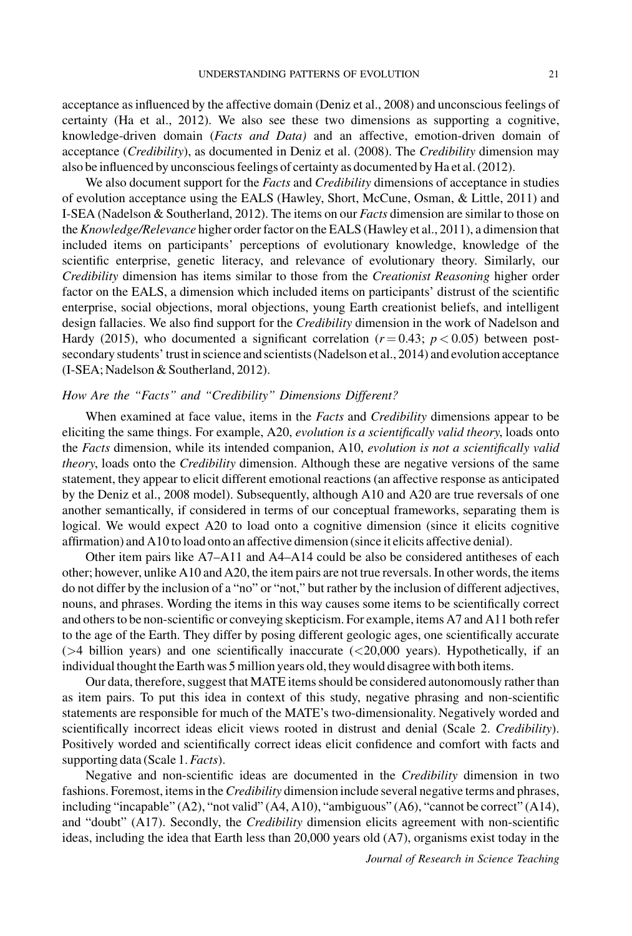acceptance as influenced by the affective domain (Deniz et al., 2008) and unconscious feelings of certainty (Ha et al., 2012). We also see these two dimensions as supporting a cognitive, knowledge-driven domain (Facts and Data) and an affective, emotion-driven domain of acceptance (Credibility), as documented in Deniz et al. (2008). The Credibility dimension may also be influenced by unconscious feelings of certainty as documented by Ha et al. (2012).

We also document support for the Facts and Credibility dimensions of acceptance in studies of evolution acceptance using the EALS (Hawley, Short, McCune, Osman, & Little, 2011) and I-SEA (Nadelson & Southerland, 2012). The items on our *Facts* dimension are similar to those on the Knowledge/Relevance higher order factor on the EALS (Hawley et al., 2011), a dimension that included items on participants' perceptions of evolutionary knowledge, knowledge of the scientific enterprise, genetic literacy, and relevance of evolutionary theory. Similarly, our Credibility dimension has items similar to those from the Creationist Reasoning higher order factor on the EALS, a dimension which included items on participants' distrust of the scientific enterprise, social objections, moral objections, young Earth creationist beliefs, and intelligent design fallacies. We also find support for the *Credibility* dimension in the work of Nadelson and Hardy (2015), who documented a significant correlation ( $r = 0.43$ ;  $p < 0.05$ ) between postsecondary students' trust in science and scientists (Nadelson et al., 2014) and evolution acceptance (I-SEA; Nadelson & Southerland, 2012).

## How Are the "Facts" and "Credibility" Dimensions Different?

When examined at face value, items in the Facts and Credibility dimensions appear to be eliciting the same things. For example, A20, evolution is a scientifically valid theory, loads onto the Facts dimension, while its intended companion, A10, evolution is not a scientifically valid theory, loads onto the *Credibility* dimension. Although these are negative versions of the same statement, they appear to elicit different emotional reactions (an affective response as anticipated by the Deniz et al., 2008 model). Subsequently, although A10 and A20 are true reversals of one another semantically, if considered in terms of our conceptual frameworks, separating them is logical. We would expect A20 to load onto a cognitive dimension (since it elicits cognitive affirmation) and A10 to load onto an affective dimension (since it elicits affective denial).

Other item pairs like A7–A11 and A4–A14 could be also be considered antitheses of each other; however, unlike A10 and A20, the item pairs are not true reversals. In other words, the items do not differ by the inclusion of a "no" or "not," but rather by the inclusion of different adjectives, nouns, and phrases. Wording the items in this way causes some items to be scientifically correct and others to be non-scientific or conveying skepticism. For example, items A7 and A11 both refer to the age of the Earth. They differ by posing different geologic ages, one scientifically accurate (>4 billion years) and one scientifically inaccurate (<20,000 years). Hypothetically, if an individual thought the Earth was 5 million years old, they would disagree with both items.

Our data, therefore, suggest that MATE items should be considered autonomously rather than as item pairs. To put this idea in context of this study, negative phrasing and non-scientific statements are responsible for much of the MATE's two-dimensionality. Negatively worded and scientifically incorrect ideas elicit views rooted in distrust and denial (Scale 2. Credibility). Positively worded and scientifically correct ideas elicit confidence and comfort with facts and supporting data (Scale 1. *Facts*).

Negative and non-scientific ideas are documented in the Credibility dimension in two fashions. Foremost, items in the *Credibility* dimension include several negative terms and phrases, including "incapable" (A2), "not valid" (A4, A10), "ambiguous" (A6), "cannot be correct" (A14), and "doubt" (A17). Secondly, the *Credibility* dimension elicits agreement with non-scientific ideas, including the idea that Earth less than 20,000 years old (A7), organisms exist today in the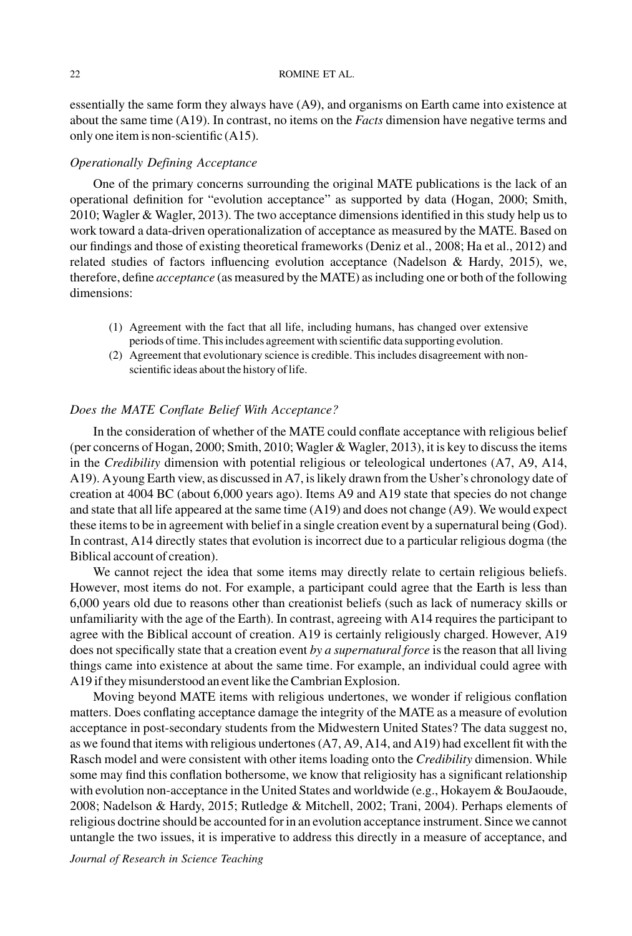essentially the same form they always have (A9), and organisms on Earth came into existence at about the same time  $(A19)$ . In contrast, no items on the *Facts* dimension have negative terms and only one item is non-scientific (A15).

### Operationally Defining Acceptance

One of the primary concerns surrounding the original MATE publications is the lack of an operational definition for "evolution acceptance" as supported by data (Hogan, 2000; Smith, 2010; Wagler & Wagler, 2013). The two acceptance dimensions identified in this study help us to work toward a data-driven operationalization of acceptance as measured by the MATE. Based on our findings and those of existing theoretical frameworks (Deniz et al., 2008; Ha et al., 2012) and related studies of factors influencing evolution acceptance (Nadelson & Hardy, 2015), we, therefore, define acceptance (as measured by the MATE) as including one or both of the following dimensions:

- (1) Agreement with the fact that all life, including humans, has changed over extensive periods of time. This includes agreement with scientific data supporting evolution.
- (2) Agreement that evolutionary science is credible. This includes disagreement with nonscientific ideas about the history of life.

## Does the MATE Conflate Belief With Acceptance?

In the consideration of whether of the MATE could conflate acceptance with religious belief (per concerns of Hogan, 2000; Smith, 2010; Wagler & Wagler, 2013), it is key to discuss the items in the Credibility dimension with potential religious or teleological undertones (A7, A9, A14, A19). Ayoung Earth view, as discussed in A7, is likely drawn from the Usher's chronology date of creation at 4004 BC (about 6,000 years ago). Items A9 and A19 state that species do not change and state that all life appeared at the same time (A19) and does not change (A9). We would expect these items to be in agreement with belief in a single creation event by a supernatural being (God). In contrast, A14 directly states that evolution is incorrect due to a particular religious dogma (the Biblical account of creation).

We cannot reject the idea that some items may directly relate to certain religious beliefs. However, most items do not. For example, a participant could agree that the Earth is less than 6,000 years old due to reasons other than creationist beliefs (such as lack of numeracy skills or unfamiliarity with the age of the Earth). In contrast, agreeing with A14 requires the participant to agree with the Biblical account of creation. A19 is certainly religiously charged. However, A19 does not specifically state that a creation event by a supernatural force is the reason that all living things came into existence at about the same time. For example, an individual could agree with A19 if they misunderstood an event like the Cambrian Explosion.

Moving beyond MATE items with religious undertones, we wonder if religious conflation matters. Does conflating acceptance damage the integrity of the MATE as a measure of evolution acceptance in post-secondary students from the Midwestern United States? The data suggest no, as we found that items with religious undertones (A7, A9, A14, and A19) had excellent fit with the Rasch model and were consistent with other items loading onto the *Credibility* dimension. While some may find this conflation bothersome, we know that religiosity has a significant relationship with evolution non-acceptance in the United States and worldwide (e.g., Hokayem & BouJaoude, 2008; Nadelson & Hardy, 2015; Rutledge & Mitchell, 2002; Trani, 2004). Perhaps elements of religious doctrine should be accounted for in an evolution acceptance instrument. Since we cannot untangle the two issues, it is imperative to address this directly in a measure of acceptance, and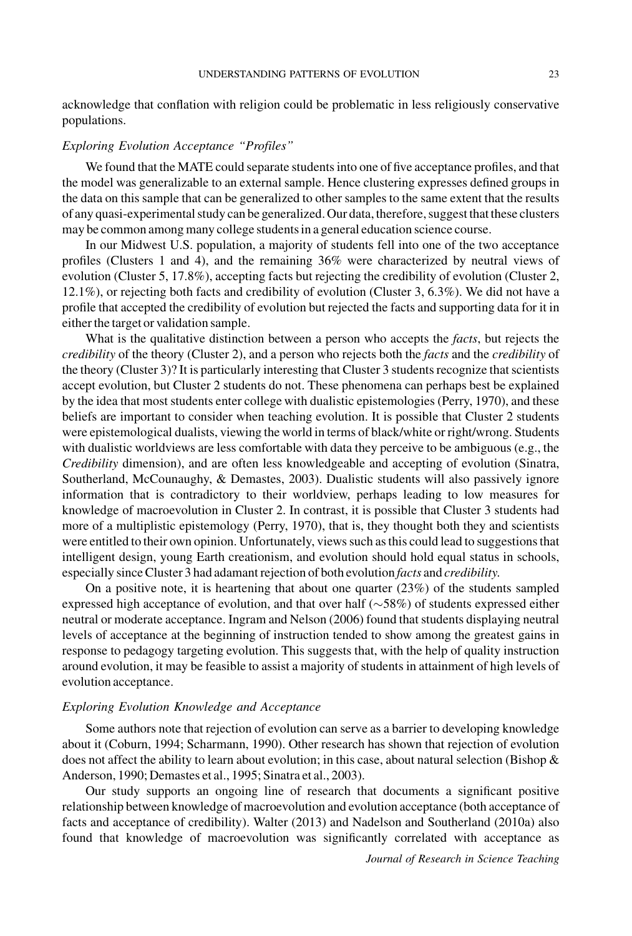acknowledge that conflation with religion could be problematic in less religiously conservative populations.

### Exploring Evolution Acceptance "Profiles"

We found that the MATE could separate students into one of five acceptance profiles, and that the model was generalizable to an external sample. Hence clustering expresses defined groups in the data on this sample that can be generalized to other samples to the same extent that the results of any quasi-experimental study can be generalized. Our data, therefore, suggest that these clusters may be common among many college students in a general education science course.

In our Midwest U.S. population, a majority of students fell into one of the two acceptance profiles (Clusters 1 and 4), and the remaining 36% were characterized by neutral views of evolution (Cluster 5, 17.8%), accepting facts but rejecting the credibility of evolution (Cluster 2, 12.1%), or rejecting both facts and credibility of evolution (Cluster 3, 6.3%). We did not have a profile that accepted the credibility of evolution but rejected the facts and supporting data for it in either the target or validation sample.

What is the qualitative distinction between a person who accepts the *facts*, but rejects the credibility of the theory (Cluster 2), and a person who rejects both the facts and the credibility of the theory (Cluster 3)? It is particularly interesting that Cluster 3 students recognize that scientists accept evolution, but Cluster 2 students do not. These phenomena can perhaps best be explained by the idea that most students enter college with dualistic epistemologies (Perry, 1970), and these beliefs are important to consider when teaching evolution. It is possible that Cluster 2 students were epistemological dualists, viewing the world in terms of black/white or right/wrong. Students with dualistic worldviews are less comfortable with data they perceive to be ambiguous (e.g., the Credibility dimension), and are often less knowledgeable and accepting of evolution (Sinatra, Southerland, McCounaughy, & Demastes, 2003). Dualistic students will also passively ignore information that is contradictory to their worldview, perhaps leading to low measures for knowledge of macroevolution in Cluster 2. In contrast, it is possible that Cluster 3 students had more of a multiplistic epistemology (Perry, 1970), that is, they thought both they and scientists were entitled to their own opinion. Unfortunately, views such as this could lead to suggestions that intelligent design, young Earth creationism, and evolution should hold equal status in schools, especially since Cluster 3 had adamant rejection of both evolution facts and credibility.

On a positive note, it is heartening that about one quarter  $(23%)$  of the students sampled expressed high acceptance of evolution, and that over half  $(\sim 58%)$  of students expressed either neutral or moderate acceptance. Ingram and Nelson (2006) found that students displaying neutral levels of acceptance at the beginning of instruction tended to show among the greatest gains in response to pedagogy targeting evolution. This suggests that, with the help of quality instruction around evolution, it may be feasible to assist a majority of students in attainment of high levels of evolution acceptance.

## Exploring Evolution Knowledge and Acceptance

Some authors note that rejection of evolution can serve as a barrier to developing knowledge about it (Coburn, 1994; Scharmann, 1990). Other research has shown that rejection of evolution does not affect the ability to learn about evolution; in this case, about natural selection (Bishop & Anderson, 1990; Demastes et al., 1995; Sinatra et al., 2003).

Our study supports an ongoing line of research that documents a significant positive relationship between knowledge of macroevolution and evolution acceptance (both acceptance of facts and acceptance of credibility). Walter (2013) and Nadelson and Southerland (2010a) also found that knowledge of macroevolution was significantly correlated with acceptance as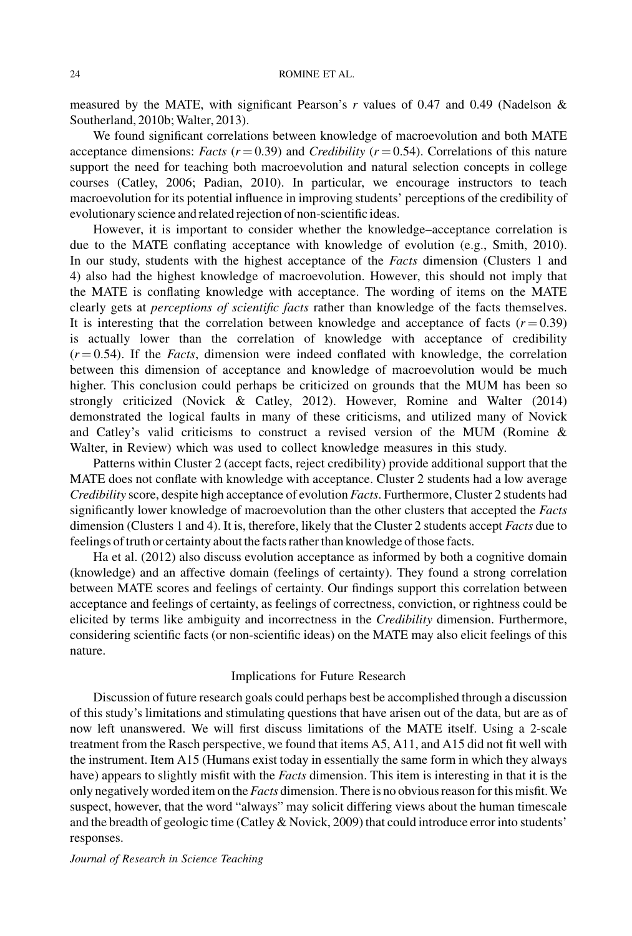measured by the MATE, with significant Pearson's r values of 0.47 and 0.49 (Nadelson & Southerland, 2010b; Walter, 2013).

We found significant correlations between knowledge of macroevolution and both MATE acceptance dimensions: Facts ( $r = 0.39$ ) and Credibility ( $r = 0.54$ ). Correlations of this nature support the need for teaching both macroevolution and natural selection concepts in college courses (Catley, 2006; Padian, 2010). In particular, we encourage instructors to teach macroevolution for its potential influence in improving students' perceptions of the credibility of evolutionary science and related rejection of non-scientificideas.

However, it is important to consider whether the knowledge–acceptance correlation is due to the MATE conflating acceptance with knowledge of evolution (e.g., Smith, 2010). In our study, students with the highest acceptance of the Facts dimension (Clusters 1 and 4) also had the highest knowledge of macroevolution. However, this should not imply that the MATE is conflating knowledge with acceptance. The wording of items on the MATE clearly gets at perceptions of scientific facts rather than knowledge of the facts themselves. It is interesting that the correlation between knowledge and acceptance of facts  $(r = 0.39)$ is actually lower than the correlation of knowledge with acceptance of credibility  $(r = 0.54)$ . If the *Facts*, dimension were indeed conflated with knowledge, the correlation between this dimension of acceptance and knowledge of macroevolution would be much higher. This conclusion could perhaps be criticized on grounds that the MUM has been so strongly criticized (Novick & Catley, 2012). However, Romine and Walter (2014) demonstrated the logical faults in many of these criticisms, and utilized many of Novick and Catley's valid criticisms to construct a revised version of the MUM (Romine & Walter, in Review) which was used to collect knowledge measures in this study.

Patterns within Cluster 2 (accept facts, reject credibility) provide additional support that the MATE does not conflate with knowledge with acceptance. Cluster 2 students had a low average Credibility score, despite high acceptance of evolution Facts. Furthermore, Cluster 2 students had significantly lower knowledge of macroevolution than the other clusters that accepted the Facts dimension (Clusters 1 and 4). It is, therefore, likely that the Cluster 2 students accept Facts due to feelings of truth or certainty about the facts rather than knowledge of those facts.

Ha et al. (2012) also discuss evolution acceptance as informed by both a cognitive domain (knowledge) and an affective domain (feelings of certainty). They found a strong correlation between MATE scores and feelings of certainty. Our findings support this correlation between acceptance and feelings of certainty, as feelings of correctness, conviction, or rightness could be elicited by terms like ambiguity and incorrectness in the Credibility dimension. Furthermore, considering scientific facts (or non-scientific ideas) on the MATE may also elicit feelings of this nature.

### Implications for Future Research

Discussion of future research goals could perhaps best be accomplished through a discussion of this study's limitations and stimulating questions that have arisen out of the data, but are as of now left unanswered. We will first discuss limitations of the MATE itself. Using a 2-scale treatment from the Rasch perspective, we found that items A5, A11, and A15 did not fit well with the instrument. Item A15 (Humans exist today in essentially the same form in which they always have) appears to slightly misfit with the *Facts* dimension. This item is interesting in that it is the only negatively worded item on the *Facts* dimension. There is no obvious reason for this misfit. We suspect, however, that the word "always" may solicit differing views about the human timescale and the breadth of geologic time (Catley & Novick, 2009) that could introduce error into students' responses.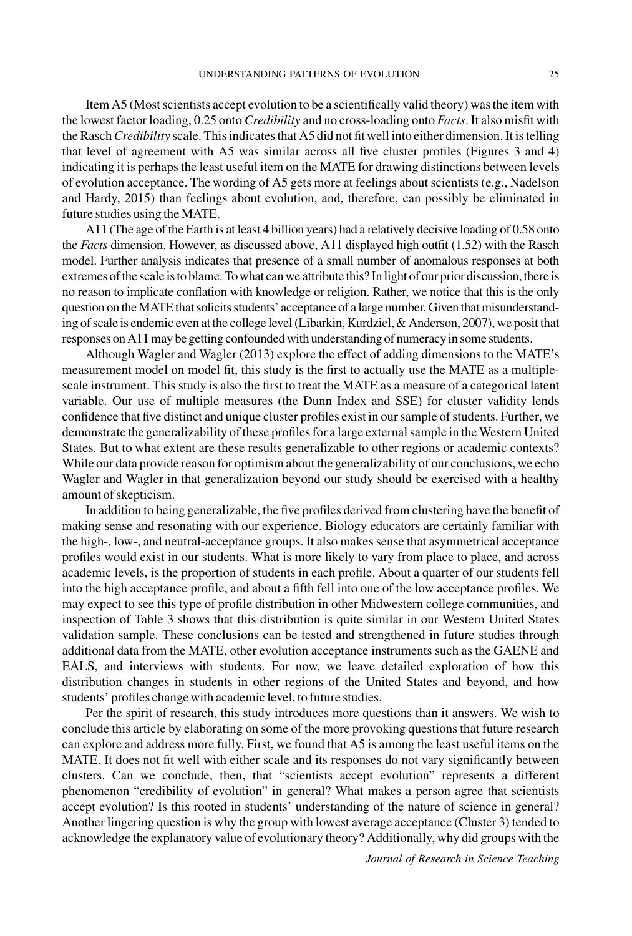Item A5 (Most scientists accept evolution to be a scientifically valid theory) was the item with the lowest factor loading, 0.25 onto Credibility and no cross-loading onto Facts. It also misfit with the Rasch Credibility scale. This indicates that A5 did not fit well into either dimension. It is telling that level of agreement with A5 was similar across all five cluster profiles (Figures 3 and 4) indicating it is perhaps the least useful item on the MATE for drawing distinctions between levels of evolution acceptance. The wording of A5 gets more at feelings about scientists (e.g., Nadelson and Hardy, 2015) than feelings about evolution, and, therefore, can possibly be eliminated in future studies using the MATE.

A11 (The age of the Earth is at least 4 billion years) had a relatively decisive loading of 0.58 onto the Facts dimension. However, as discussed above, A11 displayed high outfit (1.52) with the Rasch model. Further analysis indicates that presence of a small number of anomalous responses at both extremes of the scale is to blame. To what can we attribute this? In light of our prior discussion, there is no reason to implicate conflation with knowledge or religion. Rather, we notice that this is the only question on the MATE that solicits students' acceptance of a large number. Given that misunderstanding of scale is endemic even at the college level (Libarkin, Kurdziel, & Anderson, 2007), we posit that responses on A11 may be getting confounded with understanding of numeracyin some students.

Although Wagler and Wagler (2013) explore the effect of adding dimensions to the MATE's measurement model on model fit, this study is the first to actually use the MATE as a multiplescale instrument. This study is also the first to treat the MATE as a measure of a categorical latent variable. Our use of multiple measures (the Dunn Index and SSE) for cluster validity lends confidence that five distinct and unique cluster profiles exist in our sample of students. Further, we demonstrate the generalizability of these profiles for a large external sample in the Western United States. But to what extent are these results generalizable to other regions or academic contexts? While our data provide reason for optimism about the generalizability of our conclusions, we echo Wagler and Wagler in that generalization beyond our study should be exercised with a healthy amount of skepticism.

In addition to being generalizable, the five profiles derived from clustering have the benefit of making sense and resonating with our experience. Biology educators are certainly familiar with the high-, low-, and neutral-acceptance groups. It also makes sense that asymmetrical acceptance profiles would exist in our students. What is more likely to vary from place to place, and across academic levels, is the proportion of students in each profile. About a quarter of our students fell into the high acceptance profile, and about a fifth fell into one of the low acceptance profiles. We may expect to see this type of profile distribution in other Midwestern college communities, and inspection of Table 3 shows that this distribution is quite similar in our Western United States validation sample. These conclusions can be tested and strengthened in future studies through additional data from the MATE, other evolution acceptance instruments such as the GAENE and EALS, and interviews with students. For now, we leave detailed exploration of how this distribution changes in students in other regions of the United States and beyond, and how students' profiles change with academic level, to future studies.

Per the spirit of research, this study introduces more questions than it answers. We wish to conclude this article by elaborating on some of the more provoking questions that future research can explore and address more fully. First, we found that A5 is among the least useful items on the MATE. It does not fit well with either scale and its responses do not vary significantly between clusters. Can we conclude, then, that "scientists accept evolution" represents a different phenomenon "credibility of evolution" in general? What makes a person agree that scientists accept evolution? Is this rooted in students' understanding of the nature of science in general? Another lingering question is why the group with lowest average acceptance (Cluster 3) tended to acknowledge the explanatory value of evolutionary theory? Additionally, why did groups with the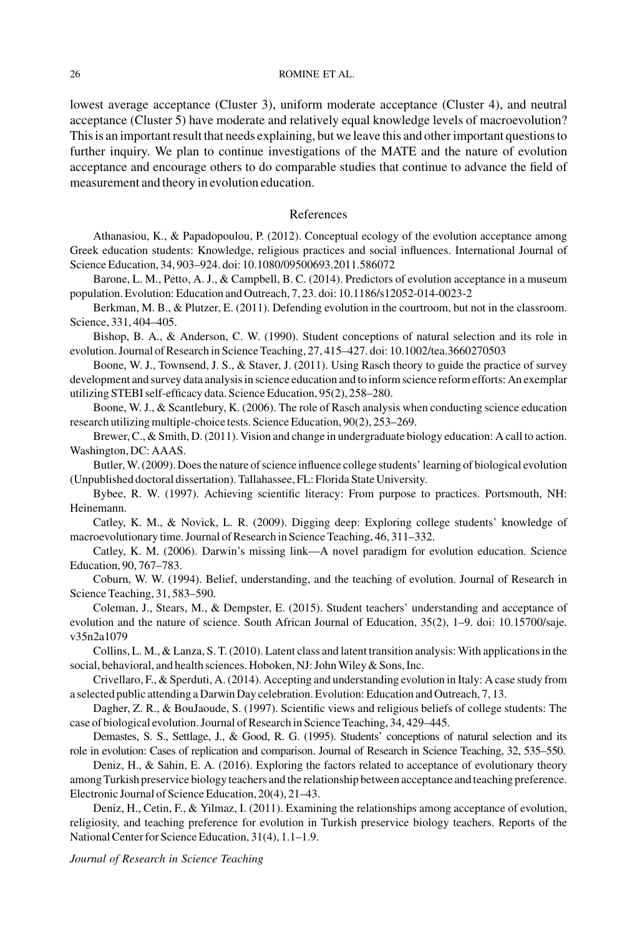lowest average acceptance (Cluster 3), uniform moderate acceptance (Cluster 4), and neutral acceptance (Cluster 5) have moderate and relatively equal knowledge levels of macroevolution? This is an important result that needs explaining, but we leave this and other important questions to further inquiry. We plan to continue investigations of the MATE and the nature of evolution acceptance and encourage others to do comparable studies that continue to advance the field of measurement and theory in evolution education.

### References

Athanasiou, K., & Papadopoulou, P. (2012). Conceptual ecology of the evolution acceptance among Greek education students: Knowledge, religious practices and social influences. International Journal of Science Education, 34, 903–924. doi: 10.1080/09500693.2011.586072

Barone, L. M., Petto, A. J., & Campbell, B. C. (2014). Predictors of evolution acceptance in a museum population. Evolution: Education and Outreach, 7, 23. doi: 10.1186/s12052-014-0023-2

Berkman, M. B., & Plutzer, E. (2011). Defending evolution in the courtroom, but not in the classroom. Science, 331, 404–405.

Bishop, B. A., & Anderson, C. W. (1990). Student conceptions of natural selection and its role in evolution. Journal of Research in Science Teaching, 27, 415–427. doi: 10.1002/tea.3660270503

Boone, W. J., Townsend, J. S., & Staver, J. (2011). Using Rasch theory to guide the practice of survey development and survey data analysis in science education and to inform science reform efforts: An exemplar utilizing STEBI self-efficacy data. Science Education, 95(2), 258–280.

Boone, W. J., & Scantlebury, K. (2006). The role of Rasch analysis when conducting science education research utilizing multiple-choice tests. Science Education, 90(2), 253–269.

Brewer, C., & Smith, D. (2011). Vision and change in undergraduate biology education: A call to action. Washington, DC: AAAS.

Butler,W. (2009). Does the nature of science influence college students' learning of biological evolution (Unpublished doctoral dissertation). Tallahassee, FL: Florida State University.

Bybee, R. W. (1997). Achieving scientific literacy: From purpose to practices. Portsmouth, NH: Heinemann.

Catley, K. M., & Novick, L. R. (2009). Digging deep: Exploring college students' knowledge of macroevolutionary time. Journal of Research in Science Teaching, 46, 311–332.

Catley, K. M. (2006). Darwin's missing link—A novel paradigm for evolution education. Science Education, 90, 767–783.

Coburn, W. W. (1994). Belief, understanding, and the teaching of evolution. Journal of Research in Science Teaching, 31, 583–590.

Coleman, J., Stears, M., & Dempster, E. (2015). Student teachers' understanding and acceptance of evolution and the nature of science. South African Journal of Education, 35(2), 1–9. doi: 10.15700/saje. v35n2a1079

Collins, L. M., & Lanza, S. T. (2010). Latent class and latent transition analysis: With applications in the social, behavioral, and health sciences. Hoboken, NJ: John Wiley & Sons, Inc.

Crivellaro, F., & Sperduti, A. (2014). Accepting and understanding evolution in Italy: A case study from a selected public attending a Darwin Day celebration. Evolution: Education and Outreach, 7, 13.

Dagher, Z. R., & BouJaoude, S. (1997). Scientific views and religious beliefs of college students: The case of biological evolution. Journal of Research in Science Teaching, 34, 429–445.

Demastes, S. S., Settlage, J., & Good, R. G. (1995). Students' conceptions of natural selection and its role in evolution: Cases of replication and comparison. Journal of Research in Science Teaching, 32, 535–550.

Deniz, H., & Sahin, E. A. (2016). Exploring the factors related to acceptance of evolutionary theory among Turkish preservice biology teachers and the relationship between acceptance and teaching preference. Electronic Journal of Science Education, 20(4), 21–43.

Deniz, H., Cetin, F., & Yilmaz, I. (2011). Examining the relationships among acceptance of evolution, religiosity, and teaching preference for evolution in Turkish preservice biology teachers. Reports of the National Center for Science Education, 31(4), 1.1–1.9.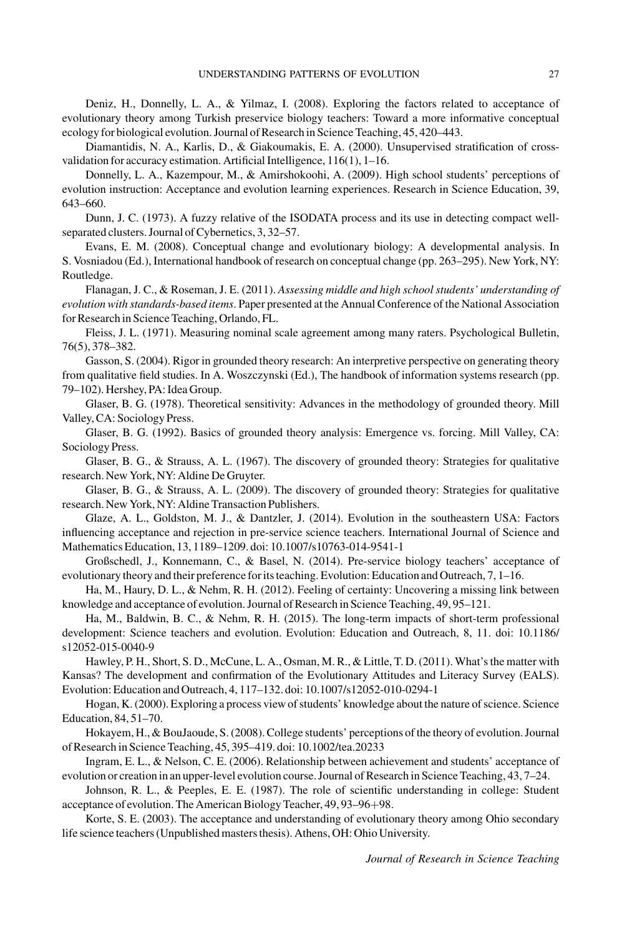Deniz, H., Donnelly, L. A., & Yilmaz, I. (2008). Exploring the factors related to acceptance of evolutionary theory among Turkish preservice biology teachers: Toward a more informative conceptual ecology for biological evolution. Journal of Research in Science Teaching, 45, 420–443.

Diamantidis, N. A., Karlis, D., & Giakoumakis, E. A. (2000). Unsupervised stratification of crossvalidation for accuracy estimation. Artificial Intelligence, 116(1), 1–16.

Donnelly, L. A., Kazempour, M., & Amirshokoohi, A. (2009). High school students' perceptions of evolution instruction: Acceptance and evolution learning experiences. Research in Science Education, 39, 643–660.

Dunn, J. C. (1973). A fuzzy relative of the ISODATA process and its use in detecting compact wellseparated clusters. Journal of Cybernetics, 3, 32–57.

Evans, E. M. (2008). Conceptual change and evolutionary biology: A developmental analysis. In S. Vosniadou (Ed.), International handbook of research on conceptual change (pp. 263–295). New York, NY: Routledge.

Flanagan, J. C., & Roseman, J. E. (2011). Assessing middle and high school students' understanding of evolution with standards-based items. Paper presented at the Annual Conference of the National Association for Research in Science Teaching, Orlando, FL.

Fleiss, J. L. (1971). Measuring nominal scale agreement among many raters. Psychological Bulletin, 76(5), 378–382.

Gasson, S. (2004). Rigor in grounded theory research: An interpretive perspective on generating theory from qualitative field studies. In A. Woszczynski (Ed.), The handbook of information systems research (pp. 79–102). Hershey, PA: Idea Group.

Glaser, B. G. (1978). Theoretical sensitivity: Advances in the methodology of grounded theory. Mill Valley, CA: Sociology Press.

Glaser, B. G. (1992). Basics of grounded theory analysis: Emergence vs. forcing. Mill Valley, CA: Sociology Press.

Glaser, B. G., & Strauss, A. L. (1967). The discovery of grounded theory: Strategies for qualitative research. New York, NY: Aldine De Gruyter.

Glaser, B. G., & Strauss, A. L. (2009). The discovery of grounded theory: Strategies for qualitative research. New York, NY: Aldine Transaction Publishers.

Glaze, A. L., Goldston, M. J., & Dantzler, J. (2014). Evolution in the southeastern USA: Factors influencing acceptance and rejection in pre-service science teachers. International Journal of Science and Mathematics Education, 13, 1189–1209. doi: 10.1007/s10763-014-9541-1

Großschedl, J., Konnemann, C., & Basel, N. (2014). Pre-service biology teachers' acceptance of evolutionary theory and their preference for its teaching. Evolution: Education and Outreach, 7, 1–16.

Ha, M., Haury, D. L., & Nehm, R. H. (2012). Feeling of certainty: Uncovering a missing link between knowledge and acceptance of evolution. Journal of Research in Science Teaching, 49, 95–121.

Ha, M., Baldwin, B. C., & Nehm, R. H. (2015). The long-term impacts of short-term professional development: Science teachers and evolution. Evolution: Education and Outreach, 8, 11. doi: 10.1186/ s12052-015-0040-9

Hawley, P. H., Short, S. D., McCune, L. A., Osman, M. R., & Little, T. D. (2011). What's the matter with Kansas? The development and confirmation of the Evolutionary Attitudes and Literacy Survey (EALS). Evolution: Education and Outreach, 4, 117–132. doi: 10.1007/s12052-010-0294-1

Hogan, K. (2000). Exploring a process view of students' knowledge about the nature of science. Science Education, 84, 51–70.

Hokayem, H., & BouJaoude, S. (2008). College students' perceptions of the theory of evolution. Journal of Research in Science Teaching, 45, 395–419. doi: 10.1002/tea.20233

Ingram, E. L., & Nelson, C. E. (2006). Relationship between achievement and students' acceptance of evolution or creation in an upper-level evolution course. Journal of Research in Science Teaching, 43, 7–24.

Johnson, R. L., & Peeples, E. E. (1987). The role of scientific understanding in college: Student acceptance of evolution. The American Biology Teacher, 49, 93-96+98.

Korte, S. E. (2003). The acceptance and understanding of evolutionary theory among Ohio secondary life science teachers (Unpublished masters thesis). Athens, OH: Ohio University.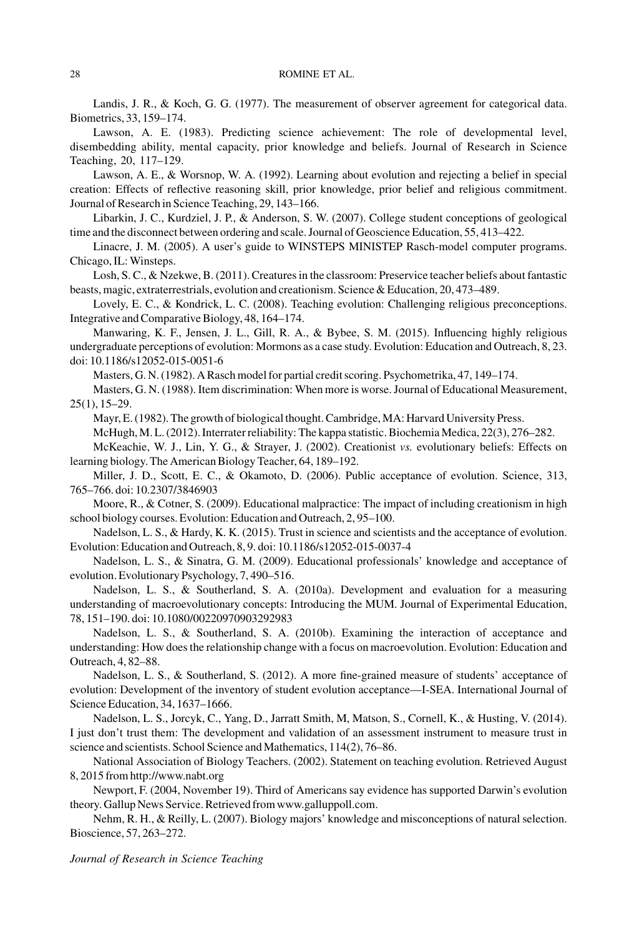Landis, J. R., & Koch, G. G. (1977). The measurement of observer agreement for categorical data. Biometrics, 33, 159–174.

Lawson, A. E. (1983). Predicting science achievement: The role of developmental level, disembedding ability, mental capacity, prior knowledge and beliefs. Journal of Research in Science Teaching, 20, 117–129.

Lawson, A. E., & Worsnop, W. A. (1992). Learning about evolution and rejecting a belief in special creation: Effects of reflective reasoning skill, prior knowledge, prior belief and religious commitment. Journal of Research in Science Teaching, 29, 143–166.

Libarkin, J. C., Kurdziel, J. P., & Anderson, S. W. (2007). College student conceptions of geological time and the disconnect between ordering and scale. Journal of Geoscience Education, 55, 413–422.

Linacre, J. M. (2005). A user's guide to WINSTEPS MINISTEP Rasch-model computer programs. Chicago, IL:Winsteps.

Losh, S. C., & Nzekwe, B. (2011). Creatures in the classroom: Preservice teacher beliefs about fantastic beasts, magic, extraterrestrials, evolution and creationism. Science & Education, 20, 473–489.

Lovely, E. C., & Kondrick, L. C. (2008). Teaching evolution: Challenging religious preconceptions. Integrative and Comparative Biology, 48, 164–174.

Manwaring, K. F., Jensen, J. L., Gill, R. A., & Bybee, S. M. (2015). Influencing highly religious undergraduate perceptions of evolution: Mormons as a case study. Evolution: Education and Outreach, 8, 23. doi: 10.1186/s12052-015-0051-6

Masters, G. N. (1982). A Rasch model for partial credit scoring. Psychometrika, 47, 149–174.

Masters, G. N. (1988). Item discrimination: When more is worse. Journal of Educational Measurement, 25(1), 15–29.

Mayr, E. (1982). The growth of biological thought. Cambridge, MA: Harvard University Press.

McHugh, M. L. (2012). Interrater reliability: The kappa statistic. Biochemia Medica, 22(3), 276–282.

McKeachie, W. J., Lin, Y. G., & Strayer, J. (2002). Creationist vs. evolutionary beliefs: Effects on learning biology. The American Biology Teacher, 64, 189–192.

Miller, J. D., Scott, E. C., & Okamoto, D. (2006). Public acceptance of evolution. Science, 313, 765–766. doi: 10.2307/3846903

Moore, R., & Cotner, S. (2009). Educational malpractice: The impact of including creationism in high school biology courses. Evolution: Education and Outreach, 2, 95–100.

Nadelson, L. S., & Hardy, K. K. (2015). Trust in science and scientists and the acceptance of evolution. Evolution: Education and Outreach, 8, 9. doi: 10.1186/s12052-015-0037-4

Nadelson, L. S., & Sinatra, G. M. (2009). Educational professionals' knowledge and acceptance of evolution. Evolutionary Psychology, 7, 490–516.

Nadelson, L. S., & Southerland, S. A. (2010a). Development and evaluation for a measuring understanding of macroevolutionary concepts: Introducing the MUM. Journal of Experimental Education, 78, 151–190. doi: 10.1080/00220970903292983

Nadelson, L. S., & Southerland, S. A. (2010b). Examining the interaction of acceptance and understanding: How does the relationship change with a focus on macroevolution. Evolution: Education and Outreach, 4, 82–88.

Nadelson, L. S., & Southerland, S. (2012). A more fine-grained measure of students' acceptance of evolution: Development of the inventory of student evolution acceptance—I-SEA. International Journal of Science Education, 34, 1637–1666.

Nadelson, L. S., Jorcyk, C., Yang, D., Jarratt Smith, M, Matson, S., Cornell, K., & Husting, V. (2014). I just don't trust them: The development and validation of an assessment instrument to measure trust in science and scientists. School Science and Mathematics, 114(2), 76-86.

National Association of Biology Teachers. (2002). Statement on teaching evolution. Retrieved August 8, 2015 from<http://www.nabt.org>

Newport, F. (2004, November 19). Third of Americans say evidence has supported Darwin's evolution theory. Gallup News Service. Retrieved from [www.galluppoll.com.](http://www.galluppoll.com)

Nehm, R. H., & Reilly, L. (2007). Biology majors' knowledge and misconceptions of natural selection. Bioscience, 57, 263–272.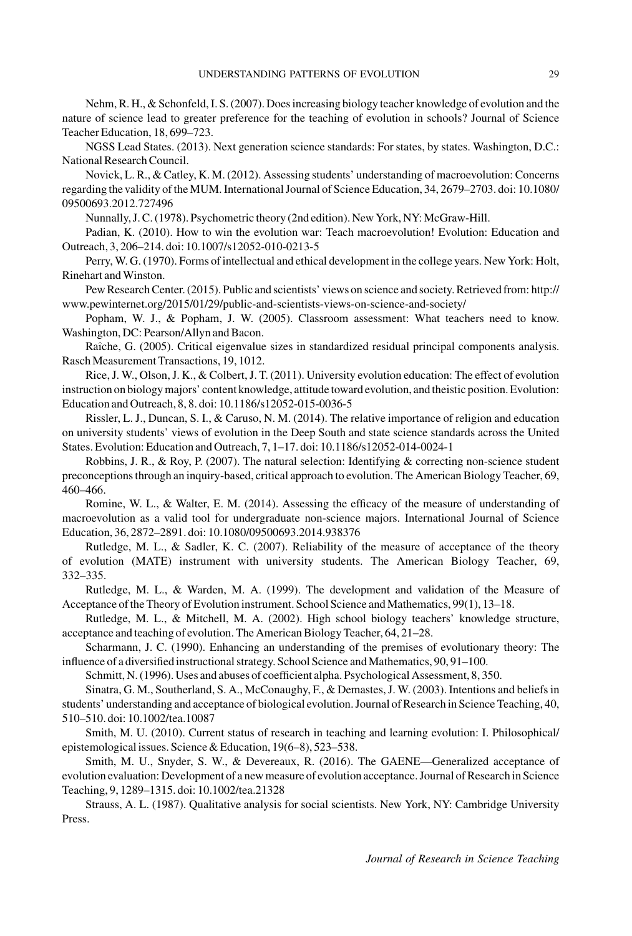Nehm, R. H., & Schonfeld, I. S. (2007). Does increasing biology teacher knowledge of evolution and the nature of science lead to greater preference for the teaching of evolution in schools? Journal of Science Teacher Education, 18, 699–723.

NGSS Lead States. (2013). Next generation science standards: For states, by states. Washington, D.C.: National Research Council.

Novick, L. R., & Catley, K. M. (2012). Assessing students' understanding of macroevolution: Concerns regarding the validity of the MUM. International Journal of Science Education, 34, 2679–2703. doi: 10.1080/ 09500693.2012.727496

Nunnally, J. C. (1978). Psychometric theory (2nd edition). New York, NY: McGraw-Hill.

Padian, K. (2010). How to win the evolution war: Teach macroevolution! Evolution: Education and Outreach, 3, 206–214. doi: 10.1007/s12052-010-0213-5

Perry, W. G. (1970). Forms of intellectual and ethical development in the college years. New York: Holt, Rinehart andWinston.

Pew Research Center. (2015). Public and scientists' views on science and society. Retrieved from: [http://](http://www.pewinternet.org/2015/01/29/public-and-scientists-views-on-science-and-society/) [www.pewinternet.org/2015/01/29/public-and-scientists-views-on-science-and-society/](http://www.pewinternet.org/2015/01/29/public-and-scientists-views-on-science-and-society/)

Popham, W. J., & Popham, J. W. (2005). Classroom assessment: What teachers need to know. Washington, DC: Pearson/Allyn and Bacon.

Raîche, G. (2005). Critical eigenvalue sizes in standardized residual principal components analysis. Rasch Measurement Transactions, 19, 1012.

Rice, J. W., Olson, J. K., & Colbert, J. T. (2011). University evolution education: The effect of evolution instruction on biology majors' content knowledge, attitude toward evolution, andtheistic position. Evolution: Education and Outreach, 8, 8. doi: 10.1186/s12052-015-0036-5

Rissler, L. J., Duncan, S. I., & Caruso, N. M. (2014). The relative importance of religion and education on university students' views of evolution in the Deep South and state science standards across the United States. Evolution: Education and Outreach, 7, 1–17. doi: 10.1186/s12052-014-0024-1

Robbins, J. R., & Roy, P. (2007). The natural selection: Identifying & correcting non-science student preconceptions through an inquiry-based, critical approach to evolution. The American Biology Teacher, 69, 460–466.

Romine, W. L., & Walter, E. M. (2014). Assessing the efficacy of the measure of understanding of macroevolution as a valid tool for undergraduate non-science majors. International Journal of Science Education, 36, 2872–2891. doi: 10.1080/09500693.2014.938376

Rutledge, M. L., & Sadler, K. C. (2007). Reliability of the measure of acceptance of the theory of evolution (MATE) instrument with university students. The American Biology Teacher, 69, 332–335.

Rutledge, M. L., & Warden, M. A. (1999). The development and validation of the Measure of Acceptance of the Theory of Evolution instrument. School Science and Mathematics, 99(1), 13–18.

Rutledge, M. L., & Mitchell, M. A. (2002). High school biology teachers' knowledge structure, acceptance and teaching of evolution. The American Biology Teacher, 64, 21–28.

Scharmann, J. C. (1990). Enhancing an understanding of the premises of evolutionary theory: The influence of a diversified instructional strategy. School Science and Mathematics, 90, 91-100.

Schmitt, N. (1996). Uses and abuses of coefficient alpha. Psychological Assessment, 8, 350.

Sinatra, G. M., Southerland, S. A., McConaughy, F., & Demastes, J. W. (2003). Intentions and beliefs in students' understanding and acceptance of biological evolution. Journal of Research in Science Teaching, 40, 510–510. doi: 10.1002/tea.10087

Smith, M. U. (2010). Current status of research in teaching and learning evolution: I. Philosophical/ epistemological issues. Science & Education, 19(6–8), 523–538.

Smith, M. U., Snyder, S. W., & Devereaux, R. (2016). The GAENE—Generalized acceptance of evolution evaluation: Development of a new measure of evolution acceptance. Journal of Research in Science Teaching, 9, 1289–1315. doi: 10.1002/tea.21328

Strauss, A. L. (1987). Qualitative analysis for social scientists. New York, NY: Cambridge University Press.